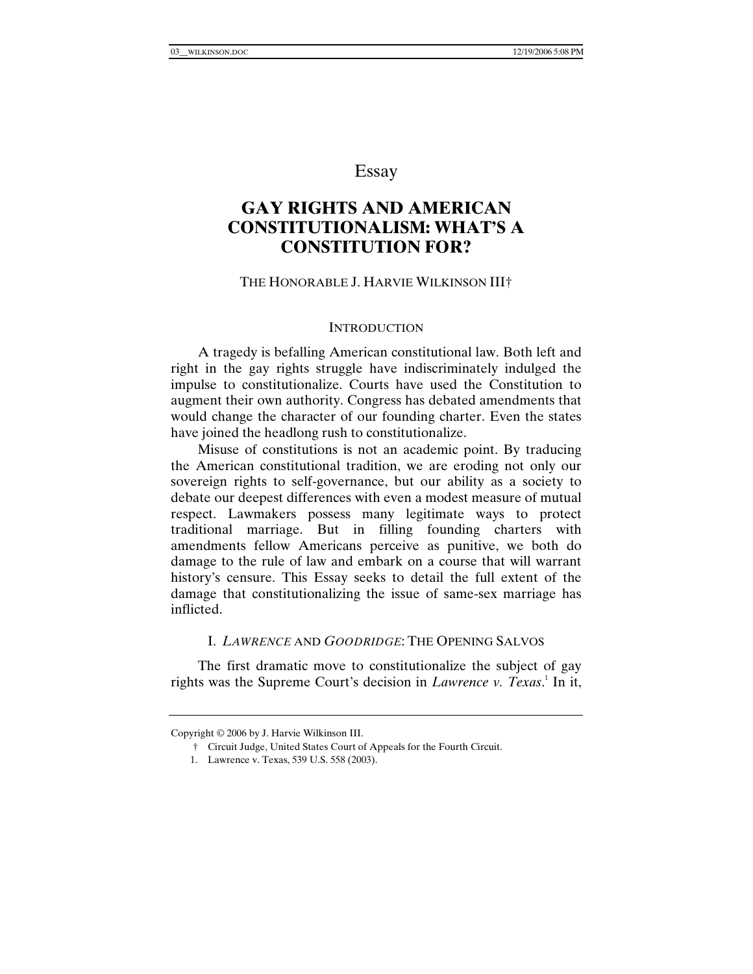# Essay

# **GAY RIGHTS AND AMERICAN CONSTITUTIONALISM: WHAT'S A CONSTITUTION FOR?**

### THE HONORABLE J. HARVIE WILKINSON III†

#### **INTRODUCTION**

A tragedy is befalling American constitutional law. Both left and right in the gay rights struggle have indiscriminately indulged the impulse to constitutionalize. Courts have used the Constitution to augment their own authority. Congress has debated amendments that would change the character of our founding charter. Even the states have joined the headlong rush to constitutionalize.

Misuse of constitutions is not an academic point. By traducing the American constitutional tradition, we are eroding not only our sovereign rights to self-governance, but our ability as a society to debate our deepest differences with even a modest measure of mutual respect. Lawmakers possess many legitimate ways to protect traditional marriage. But in filling founding charters with amendments fellow Americans perceive as punitive, we both do damage to the rule of law and embark on a course that will warrant history's censure. This Essay seeks to detail the full extent of the damage that constitutionalizing the issue of same-sex marriage has inflicted.

#### I. *LAWRENCE* AND *GOODRIDGE*: THE OPENING SALVOS

The first dramatic move to constitutionalize the subject of gay rights was the Supreme Court's decision in *Lawrence v. Texas*.<sup>1</sup> In it,

Copyright © 2006 by J. Harvie Wilkinson III.

 <sup>†</sup> Circuit Judge, United States Court of Appeals for the Fourth Circuit.

 <sup>1.</sup> Lawrence v. Texas, 539 U.S. 558 (2003).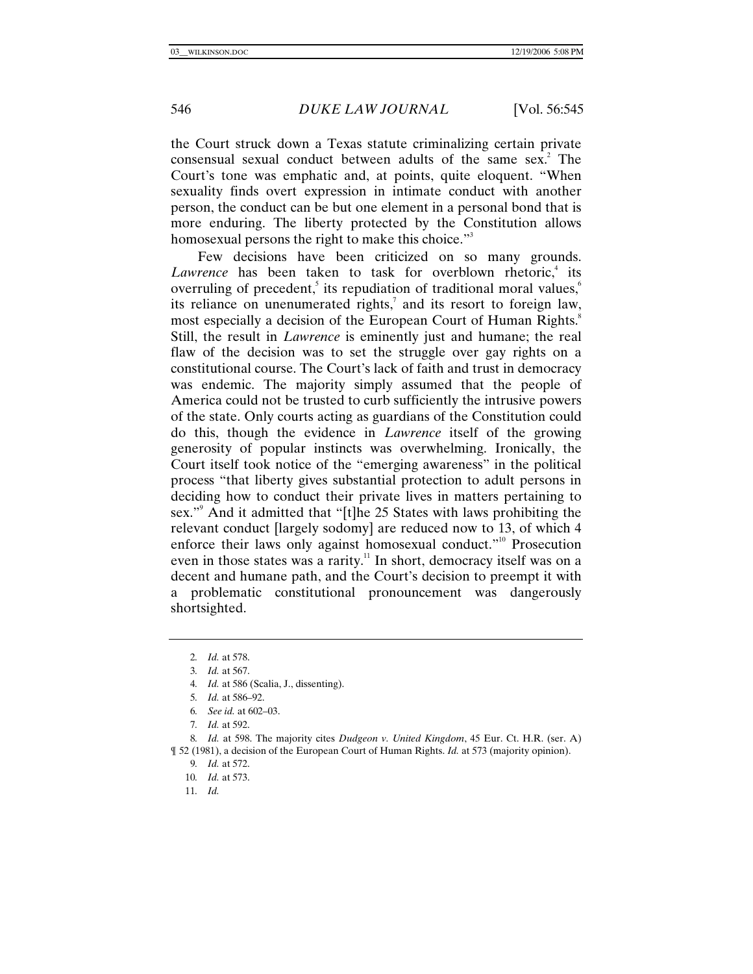the Court struck down a Texas statute criminalizing certain private consensual sexual conduct between adults of the same sex. $^2$  The Court's tone was emphatic and, at points, quite eloquent. "When sexuality finds overt expression in intimate conduct with another person, the conduct can be but one element in a personal bond that is more enduring. The liberty protected by the Constitution allows homosexual persons the right to make this choice."<sup>3</sup>

Few decisions have been criticized on so many grounds. Lawrence has been taken to task for overblown rhetoric,<sup>4</sup> its overruling of precedent, its repudiation of traditional moral values,  $6\%$ its reliance on unenumerated rights, $\alpha$  and its resort to foreign law, most especially a decision of the European Court of Human Rights.<sup>8</sup> Still, the result in *Lawrence* is eminently just and humane; the real flaw of the decision was to set the struggle over gay rights on a constitutional course. The Court's lack of faith and trust in democracy was endemic. The majority simply assumed that the people of America could not be trusted to curb sufficiently the intrusive powers of the state. Only courts acting as guardians of the Constitution could do this, though the evidence in *Lawrence* itself of the growing generosity of popular instincts was overwhelming. Ironically, the Court itself took notice of the "emerging awareness" in the political process "that liberty gives substantial protection to adult persons in deciding how to conduct their private lives in matters pertaining to sex."<sup>9</sup> And it admitted that "[t]he 25 States with laws prohibiting the relevant conduct [largely sodomy] are reduced now to 13, of which 4 enforce their laws only against homosexual conduct."10 Prosecution even in those states was a rarity.<sup>11</sup> In short, democracy itself was on a decent and humane path, and the Court's decision to preempt it with a problematic constitutional pronouncement was dangerously shortsighted.

9*. Id.* at 572.

10*. Id.* at 573.

11*. Id.*

<sup>2</sup>*. Id.* at 578.

<sup>3</sup>*. Id.* at 567.

<sup>4</sup>*. Id.* at 586 (Scalia, J., dissenting).

<sup>5</sup>*. Id.* at 586–92.

<sup>6</sup>*. See id.* at 602–03.

<sup>7</sup>*. Id.* at 592.

<sup>8</sup>*. Id.* at 598. The majority cites *Dudgeon v. United Kingdom*, 45 Eur. Ct. H.R. (ser. A) ¶ 52 (1981), a decision of the European Court of Human Rights. *Id.* at 573 (majority opinion).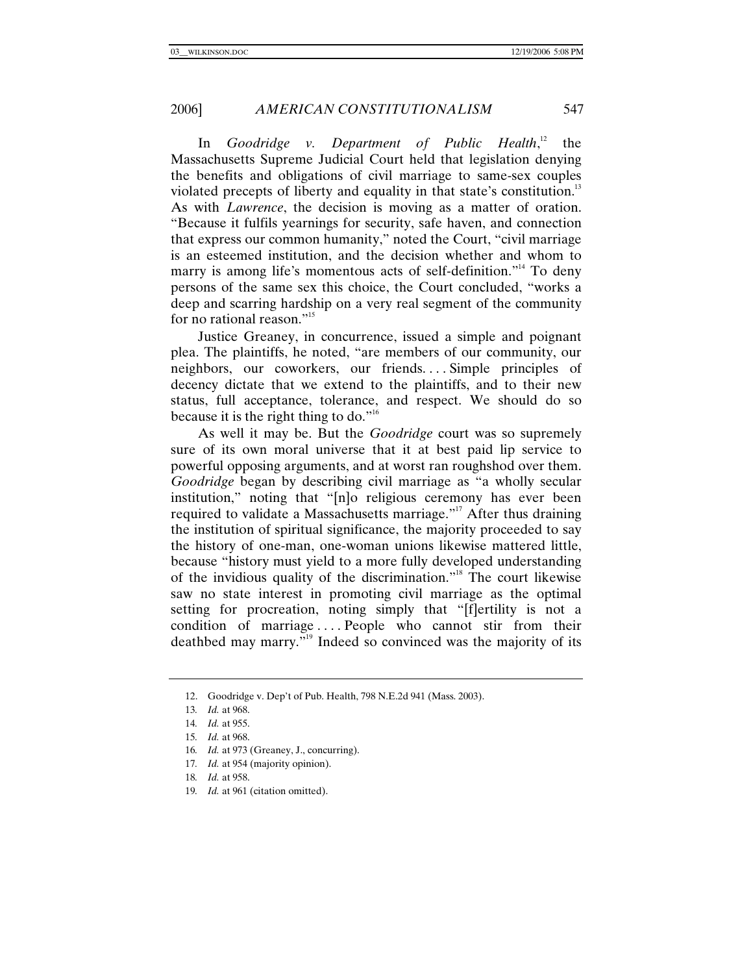In *Goodridge v. Department of Public Health*, the Massachusetts Supreme Judicial Court held that legislation denying the benefits and obligations of civil marriage to same-sex couples violated precepts of liberty and equality in that state's constitution.<sup>13</sup> As with *Lawrence*, the decision is moving as a matter of oration. "Because it fulfils yearnings for security, safe haven, and connection that express our common humanity," noted the Court, "civil marriage is an esteemed institution, and the decision whether and whom to marry is among life's momentous acts of self-definition."<sup>14</sup> To deny persons of the same sex this choice, the Court concluded, "works a deep and scarring hardship on a very real segment of the community for no rational reason."<sup>15</sup>

Justice Greaney, in concurrence, issued a simple and poignant plea. The plaintiffs, he noted, "are members of our community, our neighbors, our coworkers, our friends. . . . Simple principles of decency dictate that we extend to the plaintiffs, and to their new status, full acceptance, tolerance, and respect. We should do so because it is the right thing to do."<sup>16</sup>

As well it may be. But the *Goodridge* court was so supremely sure of its own moral universe that it at best paid lip service to powerful opposing arguments, and at worst ran roughshod over them. *Goodridge* began by describing civil marriage as "a wholly secular institution," noting that "[n]o religious ceremony has ever been required to validate a Massachusetts marriage."<sup>17</sup> After thus draining the institution of spiritual significance, the majority proceeded to say the history of one-man, one-woman unions likewise mattered little, because "history must yield to a more fully developed understanding of the invidious quality of the discrimination."18 The court likewise saw no state interest in promoting civil marriage as the optimal setting for procreation, noting simply that "[f]ertility is not a condition of marriage .... People who cannot stir from their deathbed may marry.<sup>"19</sup> Indeed so convinced was the majority of its

- 16*. Id.* at 973 (Greaney, J., concurring).
- 17*. Id.* at 954 (majority opinion).

19*. Id.* at 961 (citation omitted).

 <sup>12.</sup> Goodridge v. Dep't of Pub. Health, 798 N.E.2d 941 (Mass. 2003).

<sup>13</sup>*. Id.* at 968.

<sup>14</sup>*. Id.* at 955.

<sup>15</sup>*. Id.* at 968.

<sup>18</sup>*. Id.* at 958.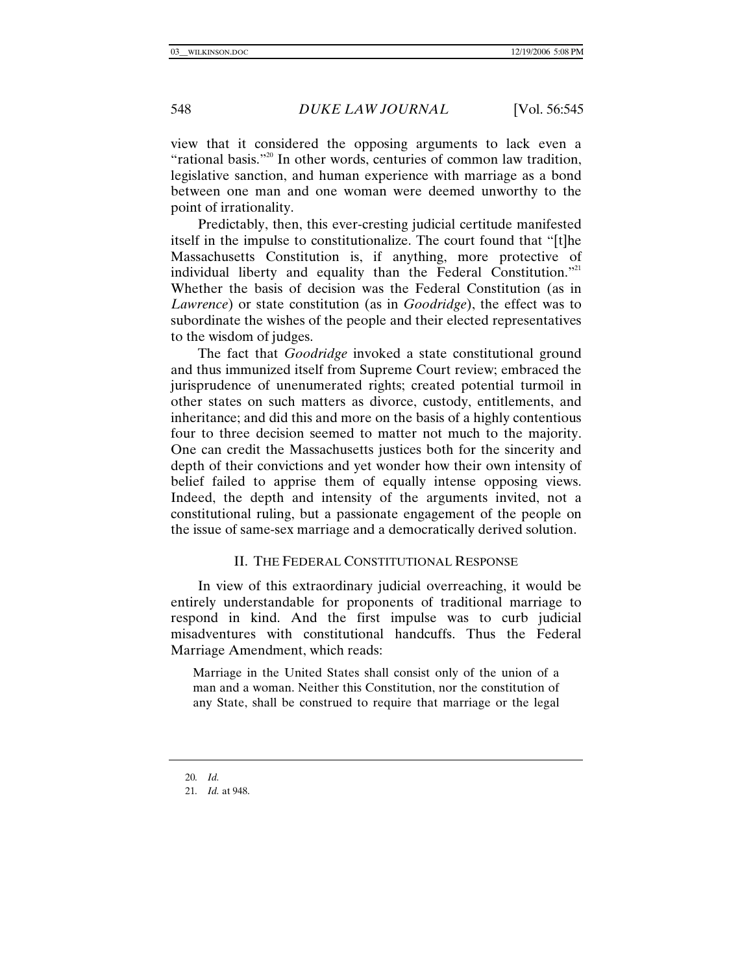view that it considered the opposing arguments to lack even a "rational basis."<sup>20</sup> In other words, centuries of common law tradition, legislative sanction, and human experience with marriage as a bond between one man and one woman were deemed unworthy to the point of irrationality.

Predictably, then, this ever-cresting judicial certitude manifested itself in the impulse to constitutionalize. The court found that "[t]he Massachusetts Constitution is, if anything, more protective of individual liberty and equality than the Federal Constitution. $^{21}$ Whether the basis of decision was the Federal Constitution (as in *Lawrence*) or state constitution (as in *Goodridge*), the effect was to subordinate the wishes of the people and their elected representatives to the wisdom of judges.

The fact that *Goodridge* invoked a state constitutional ground and thus immunized itself from Supreme Court review; embraced the jurisprudence of unenumerated rights; created potential turmoil in other states on such matters as divorce, custody, entitlements, and inheritance; and did this and more on the basis of a highly contentious four to three decision seemed to matter not much to the majority. One can credit the Massachusetts justices both for the sincerity and depth of their convictions and yet wonder how their own intensity of belief failed to apprise them of equally intense opposing views. Indeed, the depth and intensity of the arguments invited, not a constitutional ruling, but a passionate engagement of the people on the issue of same-sex marriage and a democratically derived solution.

#### II. THE FEDERAL CONSTITUTIONAL RESPONSE

In view of this extraordinary judicial overreaching, it would be entirely understandable for proponents of traditional marriage to respond in kind. And the first impulse was to curb judicial misadventures with constitutional handcuffs. Thus the Federal Marriage Amendment, which reads:

Marriage in the United States shall consist only of the union of a man and a woman. Neither this Constitution, nor the constitution of any State, shall be construed to require that marriage or the legal

<sup>20</sup>*. Id.*

<sup>21</sup>*. Id.* at 948.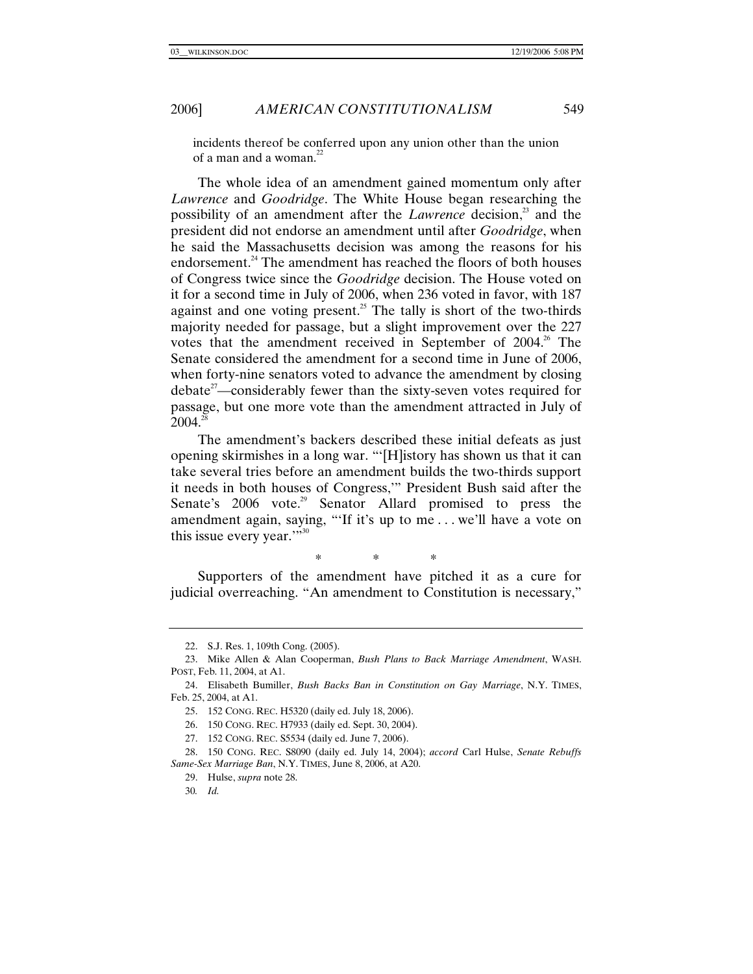incidents thereof be conferred upon any union other than the union of a man and a woman. $^{22}$ 

The whole idea of an amendment gained momentum only after *Lawrence* and *Goodridge*. The White House began researching the possibility of an amendment after the *Lawrence* decision,<sup>23</sup> and the president did not endorse an amendment until after *Goodridge*, when he said the Massachusetts decision was among the reasons for his endorsement.<sup>24</sup> The amendment has reached the floors of both houses of Congress twice since the *Goodridge* decision. The House voted on it for a second time in July of 2006, when 236 voted in favor, with 187 against and one voting present.<sup>25</sup> The tally is short of the two-thirds majority needed for passage, but a slight improvement over the 227 votes that the amendment received in September of  $2004$ .<sup>26</sup> The Senate considered the amendment for a second time in June of 2006, when forty-nine senators voted to advance the amendment by closing  $debate<sup>27</sup>$ —considerably fewer than the sixty-seven votes required for passage, but one more vote than the amendment attracted in July of  $2004^{28}$ 

The amendment's backers described these initial defeats as just opening skirmishes in a long war. "'[H]istory has shown us that it can take several tries before an amendment builds the two-thirds support it needs in both houses of Congress,'" President Bush said after the Senate's 2006 vote.<sup>29</sup> Senator Allard promised to press the amendment again, saying, "'If it's up to me . . . we'll have a vote on this issue every year."<sup>30</sup>

\* \* \*

Supporters of the amendment have pitched it as a cure for judicial overreaching. "An amendment to Constitution is necessary,"

 <sup>22.</sup> S.J. Res. 1, 109th Cong. (2005).

 <sup>23.</sup> Mike Allen & Alan Cooperman, *Bush Plans to Back Marriage Amendment*, WASH. POST, Feb. 11, 2004, at A1.

 <sup>24.</sup> Elisabeth Bumiller, *Bush Backs Ban in Constitution on Gay Marriage*, N.Y. TIMES, Feb. 25, 2004, at A1.

 <sup>25. 152</sup> CONG. REC. H5320 (daily ed. July 18, 2006).

 <sup>26. 150</sup> CONG. REC. H7933 (daily ed. Sept. 30, 2004).

 <sup>27. 152</sup> CONG. REC. S5534 (daily ed. June 7, 2006).

 <sup>28. 150</sup> CONG. REC. S8090 (daily ed. July 14, 2004); *accord* Carl Hulse, *Senate Rebuffs Same-Sex Marriage Ban*, N.Y. TIMES, June 8, 2006, at A20.

 <sup>29.</sup> Hulse, *supra* note 28.

<sup>30</sup>*. Id.*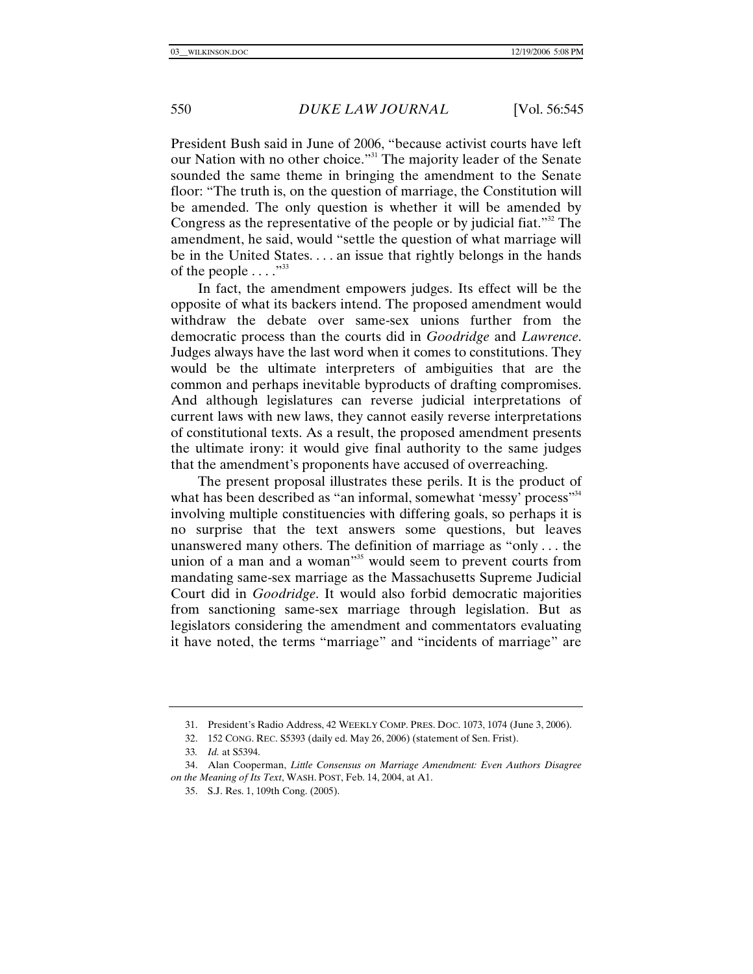President Bush said in June of 2006, "because activist courts have left our Nation with no other choice."<sup>31</sup> The majority leader of the Senate sounded the same theme in bringing the amendment to the Senate floor: "The truth is, on the question of marriage, the Constitution will be amended. The only question is whether it will be amended by Congress as the representative of the people or by judicial fiat."<sup>32</sup> The amendment, he said, would "settle the question of what marriage will be in the United States. . . . an issue that rightly belongs in the hands of the people  $\ldots$ <sup>33</sup>

In fact, the amendment empowers judges. Its effect will be the opposite of what its backers intend. The proposed amendment would withdraw the debate over same-sex unions further from the democratic process than the courts did in *Goodridge* and *Lawrence*. Judges always have the last word when it comes to constitutions. They would be the ultimate interpreters of ambiguities that are the common and perhaps inevitable byproducts of drafting compromises. And although legislatures can reverse judicial interpretations of current laws with new laws, they cannot easily reverse interpretations of constitutional texts. As a result, the proposed amendment presents the ultimate irony: it would give final authority to the same judges that the amendment's proponents have accused of overreaching.

The present proposal illustrates these perils. It is the product of what has been described as "an informal, somewhat 'messy' process'<sup>34</sup> involving multiple constituencies with differing goals, so perhaps it is no surprise that the text answers some questions, but leaves unanswered many others. The definition of marriage as "only . . . the union of a man and a woman"<sup>35</sup> would seem to prevent courts from mandating same-sex marriage as the Massachusetts Supreme Judicial Court did in *Goodridge*. It would also forbid democratic majorities from sanctioning same-sex marriage through legislation. But as legislators considering the amendment and commentators evaluating it have noted, the terms "marriage" and "incidents of marriage" are

 <sup>31.</sup> President's Radio Address, 42 WEEKLY COMP. PRES. DOC. 1073, 1074 (June 3, 2006).

 <sup>32. 152</sup> CONG. REC. S5393 (daily ed. May 26, 2006) (statement of Sen. Frist).

<sup>33</sup>*. Id.* at S5394.

 <sup>34.</sup> Alan Cooperman, *Little Consensus on Marriage Amendment: Even Authors Disagree on the Meaning of Its Text*, WASH. POST, Feb. 14, 2004, at A1.

 <sup>35.</sup> S.J. Res. 1, 109th Cong. (2005).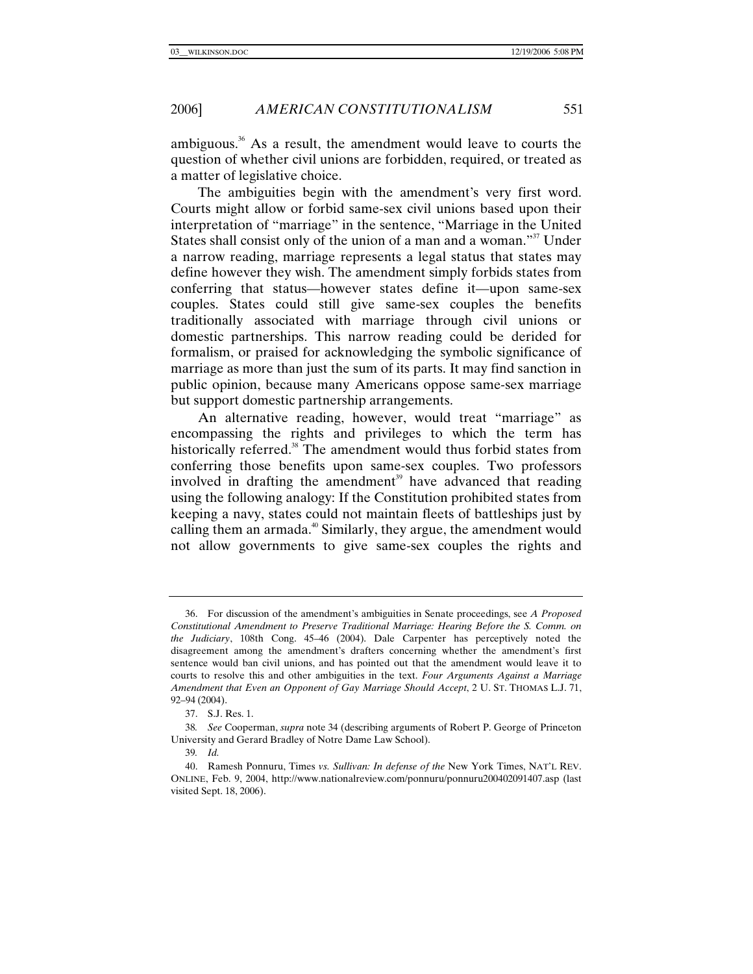ambiguous.<sup>36</sup> As a result, the amendment would leave to courts the question of whether civil unions are forbidden, required, or treated as a matter of legislative choice.

The ambiguities begin with the amendment's very first word. Courts might allow or forbid same-sex civil unions based upon their interpretation of "marriage" in the sentence, "Marriage in the United States shall consist only of the union of a man and a woman."<sup>37</sup> Under a narrow reading, marriage represents a legal status that states may define however they wish. The amendment simply forbids states from conferring that status—however states define it—upon same-sex couples. States could still give same-sex couples the benefits traditionally associated with marriage through civil unions or domestic partnerships. This narrow reading could be derided for formalism, or praised for acknowledging the symbolic significance of marriage as more than just the sum of its parts. It may find sanction in public opinion, because many Americans oppose same-sex marriage but support domestic partnership arrangements.

An alternative reading, however, would treat "marriage" as encompassing the rights and privileges to which the term has historically referred.<sup>38</sup> The amendment would thus forbid states from conferring those benefits upon same-sex couples. Two professors involved in drafting the amendment<sup>39</sup> have advanced that reading using the following analogy: If the Constitution prohibited states from keeping a navy, states could not maintain fleets of battleships just by calling them an armada.<sup>40</sup> Similarly, they argue, the amendment would not allow governments to give same-sex couples the rights and

 <sup>36.</sup> For discussion of the amendment's ambiguities in Senate proceedings, see *A Proposed Constitutional Amendment to Preserve Traditional Marriage: Hearing Before the S. Comm. on the Judiciary*, 108th Cong. 45–46 (2004). Dale Carpenter has perceptively noted the disagreement among the amendment's drafters concerning whether the amendment's first sentence would ban civil unions, and has pointed out that the amendment would leave it to courts to resolve this and other ambiguities in the text. *Four Arguments Against a Marriage Amendment that Even an Opponent of Gay Marriage Should Accept*, 2 U. ST. THOMAS L.J. 71, 92–94 (2004).

 <sup>37.</sup> S.J. Res. 1.

<sup>38</sup>*. See* Cooperman, *supra* note 34 (describing arguments of Robert P. George of Princeton University and Gerard Bradley of Notre Dame Law School).

<sup>39</sup>*. Id.*

 <sup>40.</sup> Ramesh Ponnuru, Times *vs. Sullivan: In defense of the* New York Times, NAT'L REV. ONLINE, Feb. 9, 2004, http://www.nationalreview.com/ponnuru/ponnuru200402091407.asp (last visited Sept. 18, 2006).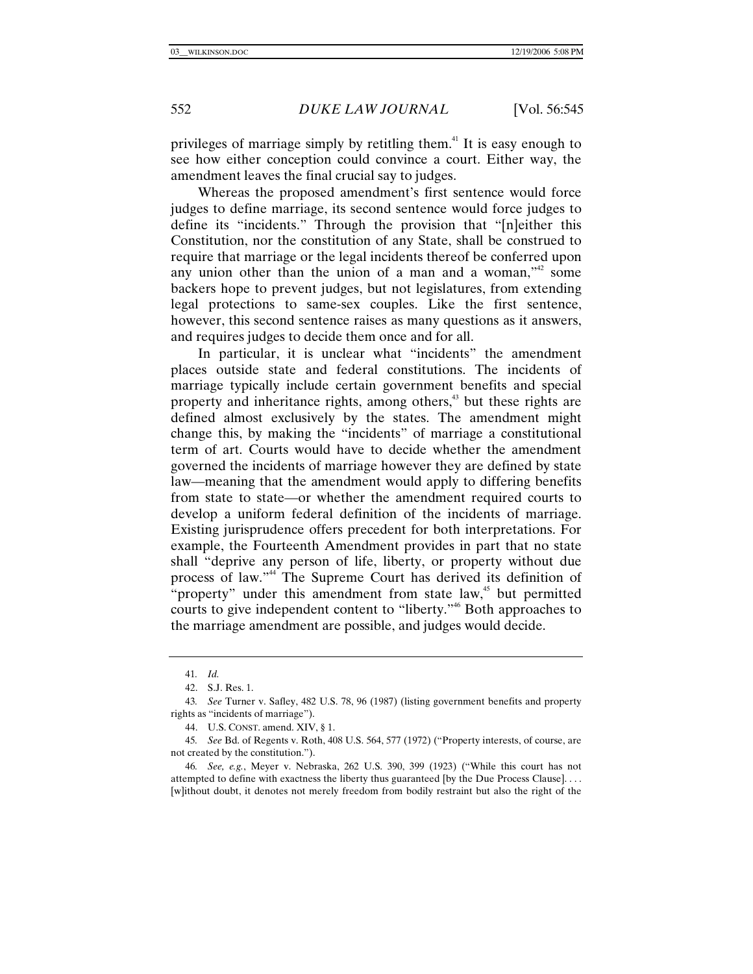privileges of marriage simply by retitling them.41 It is easy enough to see how either conception could convince a court. Either way, the amendment leaves the final crucial say to judges.

Whereas the proposed amendment's first sentence would force judges to define marriage, its second sentence would force judges to define its "incidents." Through the provision that "[n]either this Constitution, nor the constitution of any State, shall be construed to require that marriage or the legal incidents thereof be conferred upon any union other than the union of a man and a woman,"<sup>2</sup> some backers hope to prevent judges, but not legislatures, from extending legal protections to same-sex couples. Like the first sentence, however, this second sentence raises as many questions as it answers, and requires judges to decide them once and for all.

In particular, it is unclear what "incidents" the amendment places outside state and federal constitutions. The incidents of marriage typically include certain government benefits and special property and inheritance rights, among others, $43$  but these rights are defined almost exclusively by the states. The amendment might change this, by making the "incidents" of marriage a constitutional term of art. Courts would have to decide whether the amendment governed the incidents of marriage however they are defined by state law—meaning that the amendment would apply to differing benefits from state to state—or whether the amendment required courts to develop a uniform federal definition of the incidents of marriage. Existing jurisprudence offers precedent for both interpretations. For example, the Fourteenth Amendment provides in part that no state shall "deprive any person of life, liberty, or property without due process of law."44 The Supreme Court has derived its definition of "property" under this amendment from state law,<sup>45</sup> but permitted courts to give independent content to "liberty."46 Both approaches to the marriage amendment are possible, and judges would decide.

<sup>41</sup>*. Id.*

 <sup>42.</sup> S.J. Res. 1.

<sup>43</sup>*. See* Turner v. Safley, 482 U.S. 78, 96 (1987) (listing government benefits and property rights as "incidents of marriage").

 <sup>44.</sup> U.S. CONST. amend. XIV, § 1.

<sup>45</sup>*. See* Bd. of Regents v. Roth, 408 U.S. 564, 577 (1972) ("Property interests, of course, are not created by the constitution.").

<sup>46</sup>*. See, e.g.*, Meyer v. Nebraska, 262 U.S. 390, 399 (1923) ("While this court has not attempted to define with exactness the liberty thus guaranteed [by the Due Process Clause]. . . . [w]ithout doubt, it denotes not merely freedom from bodily restraint but also the right of the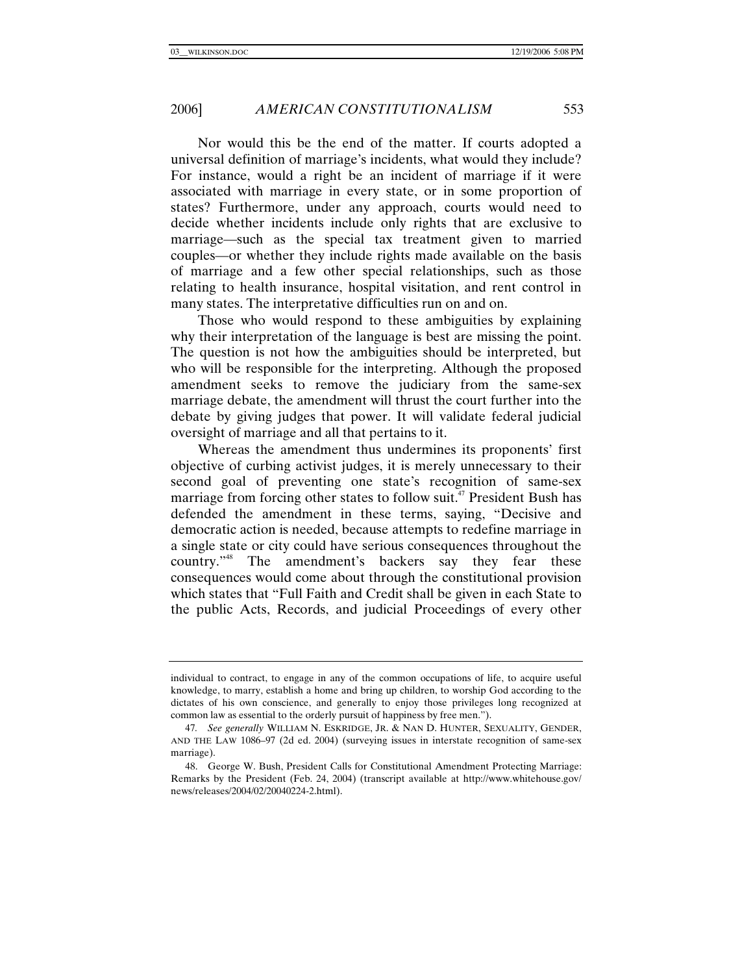Nor would this be the end of the matter. If courts adopted a universal definition of marriage's incidents, what would they include? For instance, would a right be an incident of marriage if it were associated with marriage in every state, or in some proportion of states? Furthermore, under any approach, courts would need to decide whether incidents include only rights that are exclusive to marriage—such as the special tax treatment given to married couples—or whether they include rights made available on the basis of marriage and a few other special relationships, such as those relating to health insurance, hospital visitation, and rent control in many states. The interpretative difficulties run on and on.

Those who would respond to these ambiguities by explaining why their interpretation of the language is best are missing the point. The question is not how the ambiguities should be interpreted, but who will be responsible for the interpreting. Although the proposed amendment seeks to remove the judiciary from the same-sex marriage debate, the amendment will thrust the court further into the debate by giving judges that power. It will validate federal judicial oversight of marriage and all that pertains to it.

Whereas the amendment thus undermines its proponents' first objective of curbing activist judges, it is merely unnecessary to their second goal of preventing one state's recognition of same-sex marriage from forcing other states to follow suit.<sup>47</sup> President Bush has defended the amendment in these terms, saying, "Decisive and democratic action is needed, because attempts to redefine marriage in a single state or city could have serious consequences throughout the country."48 The amendment's backers say they fear these consequences would come about through the constitutional provision which states that "Full Faith and Credit shall be given in each State to the public Acts, Records, and judicial Proceedings of every other

individual to contract, to engage in any of the common occupations of life, to acquire useful knowledge, to marry, establish a home and bring up children, to worship God according to the dictates of his own conscience, and generally to enjoy those privileges long recognized at common law as essential to the orderly pursuit of happiness by free men.").

<sup>47</sup>*. See generally* WILLIAM N. ESKRIDGE, JR. & NAN D. HUNTER, SEXUALITY, GENDER, AND THE LAW 1086–97 (2d ed. 2004) (surveying issues in interstate recognition of same-sex marriage).

 <sup>48.</sup> George W. Bush, President Calls for Constitutional Amendment Protecting Marriage: Remarks by the President (Feb. 24, 2004) (transcript available at http://www.whitehouse.gov/ news/releases/2004/02/20040224-2.html).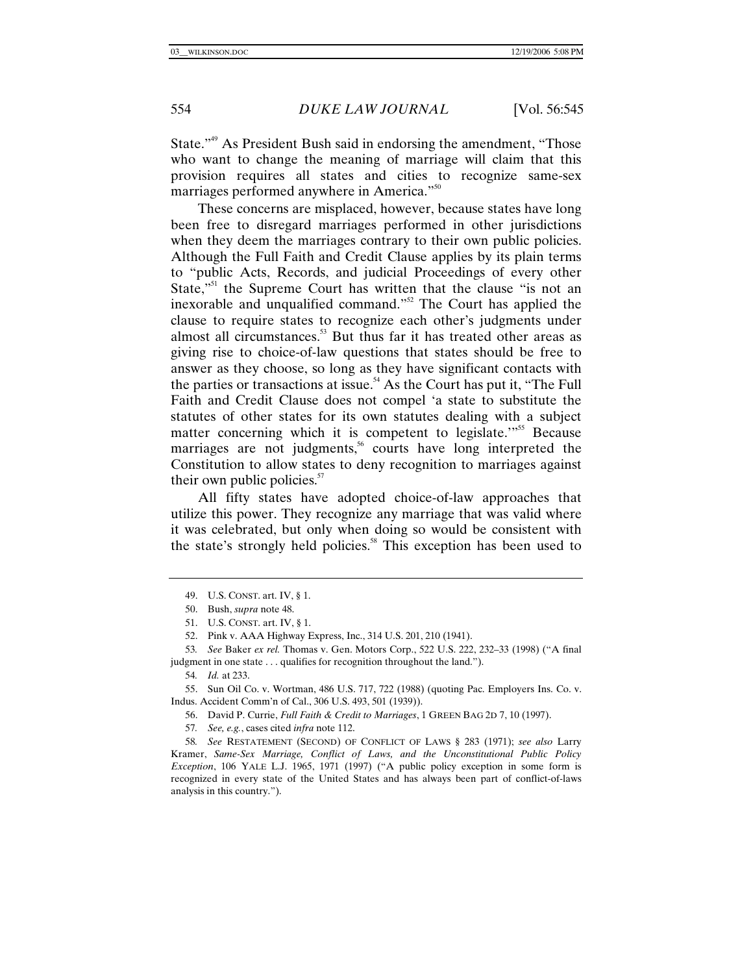State."49 As President Bush said in endorsing the amendment, "Those who want to change the meaning of marriage will claim that this provision requires all states and cities to recognize same-sex marriages performed anywhere in America."<sup>50</sup>

These concerns are misplaced, however, because states have long been free to disregard marriages performed in other jurisdictions when they deem the marriages contrary to their own public policies. Although the Full Faith and Credit Clause applies by its plain terms to "public Acts, Records, and judicial Proceedings of every other State,<sup>"51</sup> the Supreme Court has written that the clause "is not an inexorable and unqualified command."<sup>52</sup> The Court has applied the clause to require states to recognize each other's judgments under almost all circumstances.<sup>53</sup> But thus far it has treated other areas as giving rise to choice-of-law questions that states should be free to answer as they choose, so long as they have significant contacts with the parties or transactions at issue.<sup>54</sup> As the Court has put it, "The Full" Faith and Credit Clause does not compel 'a state to substitute the statutes of other states for its own statutes dealing with a subject matter concerning which it is competent to legislate.<sup>"55</sup> Because marriages are not judgments, $56$  courts have long interpreted the Constitution to allow states to deny recognition to marriages against their own public policies.<sup>57</sup>

All fifty states have adopted choice-of-law approaches that utilize this power. They recognize any marriage that was valid where it was celebrated, but only when doing so would be consistent with the state's strongly held policies.<sup>58</sup> This exception has been used to

 55. Sun Oil Co. v. Wortman, 486 U.S. 717, 722 (1988) (quoting Pac. Employers Ins. Co. v. Indus. Accident Comm'n of Cal., 306 U.S. 493, 501 (1939)).

56. David P. Currie, *Full Faith & Credit to Marriages*, 1 GREEN BAG 2D 7, 10 (1997).

57*. See, e.g.*, cases cited *infra* note 112.

58*. See* RESTATEMENT (SECOND) OF CONFLICT OF LAWS § 283 (1971); *see also* Larry Kramer, *Same-Sex Marriage, Conflict of Laws, and the Unconstitutional Public Policy Exception*, 106 YALE L.J. 1965, 1971 (1997) ("A public policy exception in some form is recognized in every state of the United States and has always been part of conflict-of-laws analysis in this country.").

 <sup>49.</sup> U.S. CONST. art. IV, § 1.

 <sup>50.</sup> Bush, *supra* note 48.

 <sup>51.</sup> U.S. CONST. art. IV, § 1.

 <sup>52.</sup> Pink v. AAA Highway Express, Inc., 314 U.S. 201, 210 (1941).

<sup>53</sup>*. See* Baker *ex rel.* Thomas v. Gen. Motors Corp., 522 U.S. 222, 232–33 (1998) ("A final judgment in one state . . . qualifies for recognition throughout the land.").

<sup>54</sup>*. Id.* at 233.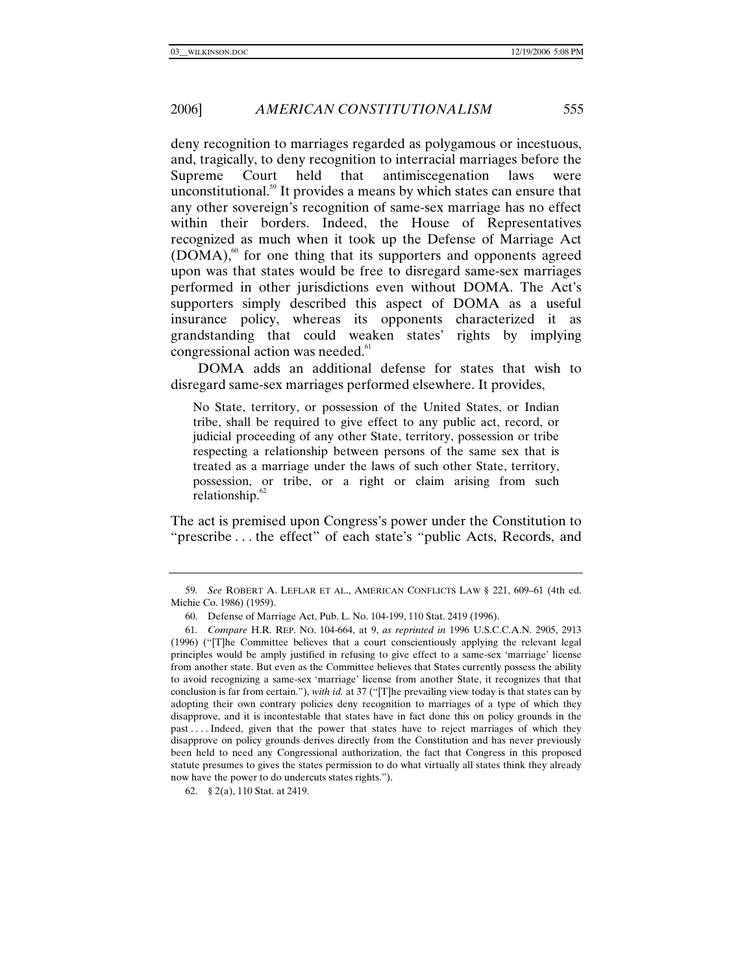deny recognition to marriages regarded as polygamous or incestuous, and, tragically, to deny recognition to interracial marriages before the Supreme Court held that antimiscegenation laws were unconstitutional.<sup>59</sup> It provides a means by which states can ensure that any other sovereign's recognition of same-sex marriage has no effect within their borders. Indeed, the House of Representatives recognized as much when it took up the Defense of Marriage Act  $(DOMA)$ ,<sup>60</sup> for one thing that its supporters and opponents agreed upon was that states would be free to disregard same-sex marriages performed in other jurisdictions even without DOMA. The Act's supporters simply described this aspect of DOMA as a useful insurance policy, whereas its opponents characterized it as grandstanding that could weaken states' rights by implying congressional action was needed.<sup>61</sup>

DOMA adds an additional defense for states that wish to disregard same-sex marriages performed elsewhere. It provides,

No State, territory, or possession of the United States, or Indian tribe, shall be required to give effect to any public act, record, or judicial proceeding of any other State, territory, possession or tribe respecting a relationship between persons of the same sex that is treated as a marriage under the laws of such other State, territory, possession, or tribe, or a right or claim arising from such relationship.<sup>62</sup>

The act is premised upon Congress's power under the Constitution to "prescribe . . . the effect" of each state's "public Acts, Records, and

<sup>59</sup>*. See* ROBERT A. LEFLAR ET AL., AMERICAN CONFLICTS LAW § 221, 609–61 (4th ed. Michie Co. 1986) (1959).

 <sup>60.</sup> Defense of Marriage Act, Pub. L. No. 104-199, 110 Stat. 2419 (1996).

<sup>61</sup>*. Compare* H.R. REP. NO. 104-664, at 9, *as reprinted in* 1996 U.S.C.C.A.N. 2905, 2913 (1996) ("[T]he Committee believes that a court conscientiously applying the relevant legal principles would be amply justified in refusing to give effect to a same-sex 'marriage' license from another state. But even as the Committee believes that States currently possess the ability to avoid recognizing a same-sex 'marriage' license from another State, it recognizes that that conclusion is far from certain."), *with id.* at 37 ("[T]he prevailing view today is that states can by adopting their own contrary policies deny recognition to marriages of a type of which they disapprove, and it is incontestable that states have in fact done this on policy grounds in the past . . . . Indeed, given that the power that states have to reject marriages of which they disapprove on policy grounds derives directly from the Constitution and has never previously been held to need any Congressional authorization, the fact that Congress in this proposed statute presumes to gives the states permission to do what virtually all states think they already now have the power to do undercuts states rights.").

 <sup>62. § 2(</sup>a), 110 Stat. at 2419.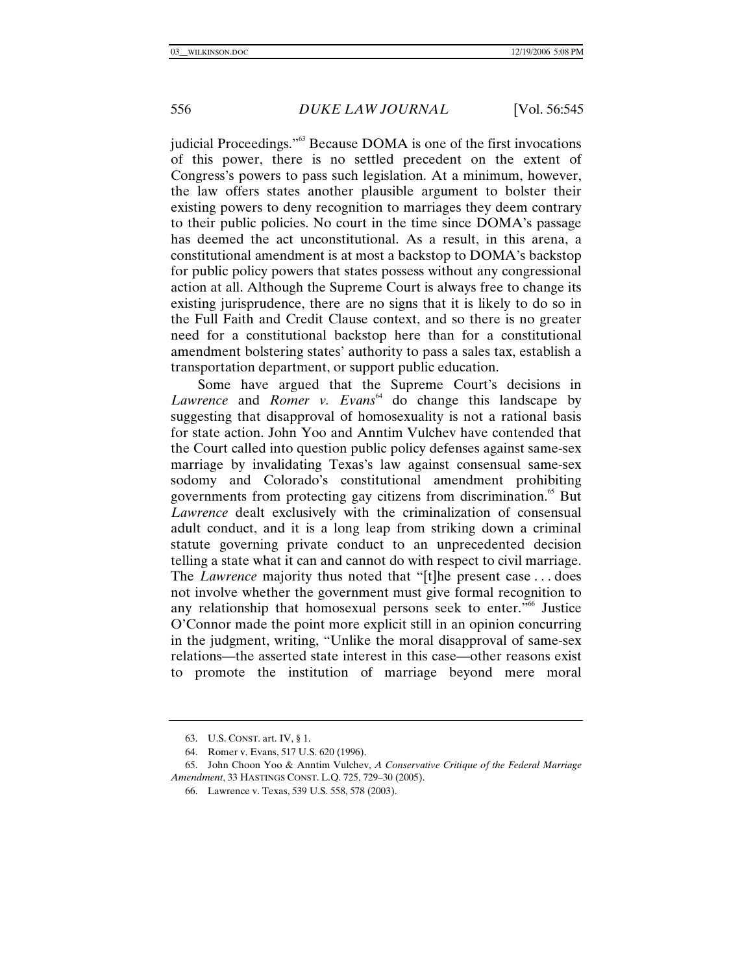judicial Proceedings."63 Because DOMA is one of the first invocations of this power, there is no settled precedent on the extent of Congress's powers to pass such legislation. At a minimum, however, the law offers states another plausible argument to bolster their existing powers to deny recognition to marriages they deem contrary to their public policies. No court in the time since DOMA's passage has deemed the act unconstitutional. As a result, in this arena, a constitutional amendment is at most a backstop to DOMA's backstop for public policy powers that states possess without any congressional action at all. Although the Supreme Court is always free to change its existing jurisprudence, there are no signs that it is likely to do so in the Full Faith and Credit Clause context, and so there is no greater need for a constitutional backstop here than for a constitutional amendment bolstering states' authority to pass a sales tax, establish a transportation department, or support public education.

Some have argued that the Supreme Court's decisions in Lawrence and *Romer v. Evans*<sup>64</sup> do change this landscape by suggesting that disapproval of homosexuality is not a rational basis for state action. John Yoo and Anntim Vulchev have contended that the Court called into question public policy defenses against same-sex marriage by invalidating Texas's law against consensual same-sex sodomy and Colorado's constitutional amendment prohibiting governments from protecting gay citizens from discrimination.<sup>65</sup> But *Lawrence* dealt exclusively with the criminalization of consensual adult conduct, and it is a long leap from striking down a criminal statute governing private conduct to an unprecedented decision telling a state what it can and cannot do with respect to civil marriage. The *Lawrence* majority thus noted that "[t]he present case . . . does not involve whether the government must give formal recognition to any relationship that homosexual persons seek to enter."66 Justice O'Connor made the point more explicit still in an opinion concurring in the judgment, writing, "Unlike the moral disapproval of same-sex relations—the asserted state interest in this case—other reasons exist to promote the institution of marriage beyond mere moral

 <sup>63.</sup> U.S. CONST. art. IV, § 1.

 <sup>64.</sup> Romer v. Evans, 517 U.S. 620 (1996).

 <sup>65.</sup> John Choon Yoo & Anntim Vulchev, *A Conservative Critique of the Federal Marriage Amendment*, 33 HASTINGS CONST. L.Q. 725, 729–30 (2005).

 <sup>66.</sup> Lawrence v. Texas, 539 U.S. 558, 578 (2003).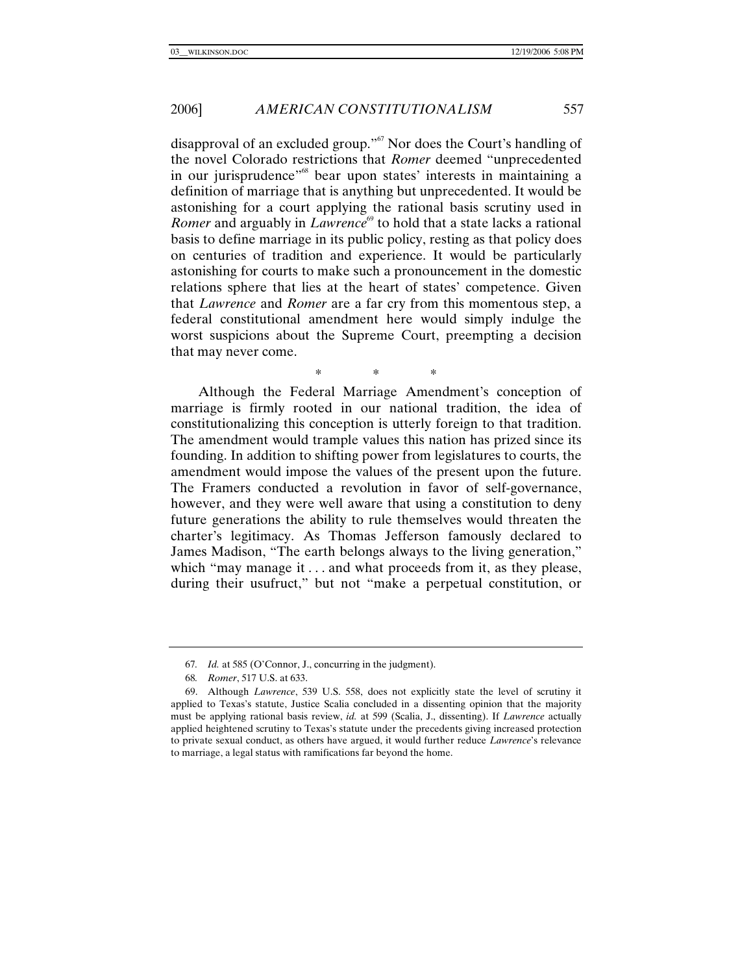disapproval of an excluded group."67 Nor does the Court's handling of the novel Colorado restrictions that *Romer* deemed "unprecedented in our jurisprudence<sup>"68</sup> bear upon states' interests in maintaining a definition of marriage that is anything but unprecedented. It would be astonishing for a court applying the rational basis scrutiny used in *Romer* and arguably in *Lawrence*<sup>69</sup> to hold that a state lacks a rational basis to define marriage in its public policy, resting as that policy does on centuries of tradition and experience. It would be particularly astonishing for courts to make such a pronouncement in the domestic relations sphere that lies at the heart of states' competence. Given that *Lawrence* and *Romer* are a far cry from this momentous step, a federal constitutional amendment here would simply indulge the worst suspicions about the Supreme Court, preempting a decision that may never come.

Although the Federal Marriage Amendment's conception of marriage is firmly rooted in our national tradition, the idea of constitutionalizing this conception is utterly foreign to that tradition. The amendment would trample values this nation has prized since its founding. In addition to shifting power from legislatures to courts, the amendment would impose the values of the present upon the future. The Framers conducted a revolution in favor of self-governance, however, and they were well aware that using a constitution to deny future generations the ability to rule themselves would threaten the charter's legitimacy. As Thomas Jefferson famously declared to James Madison, "The earth belongs always to the living generation," which "may manage it . . . and what proceeds from it, as they please, during their usufruct," but not "make a perpetual constitution, or

\* \* \*

<sup>67</sup>*. Id.* at 585 (O'Connor, J., concurring in the judgment).

<sup>68</sup>*. Romer*, 517 U.S. at 633.

 <sup>69.</sup> Although *Lawrence*, 539 U.S. 558, does not explicitly state the level of scrutiny it applied to Texas's statute, Justice Scalia concluded in a dissenting opinion that the majority must be applying rational basis review, *id.* at 599 (Scalia, J., dissenting). If *Lawrence* actually applied heightened scrutiny to Texas's statute under the precedents giving increased protection to private sexual conduct, as others have argued, it would further reduce *Lawrence*'s relevance to marriage, a legal status with ramifications far beyond the home.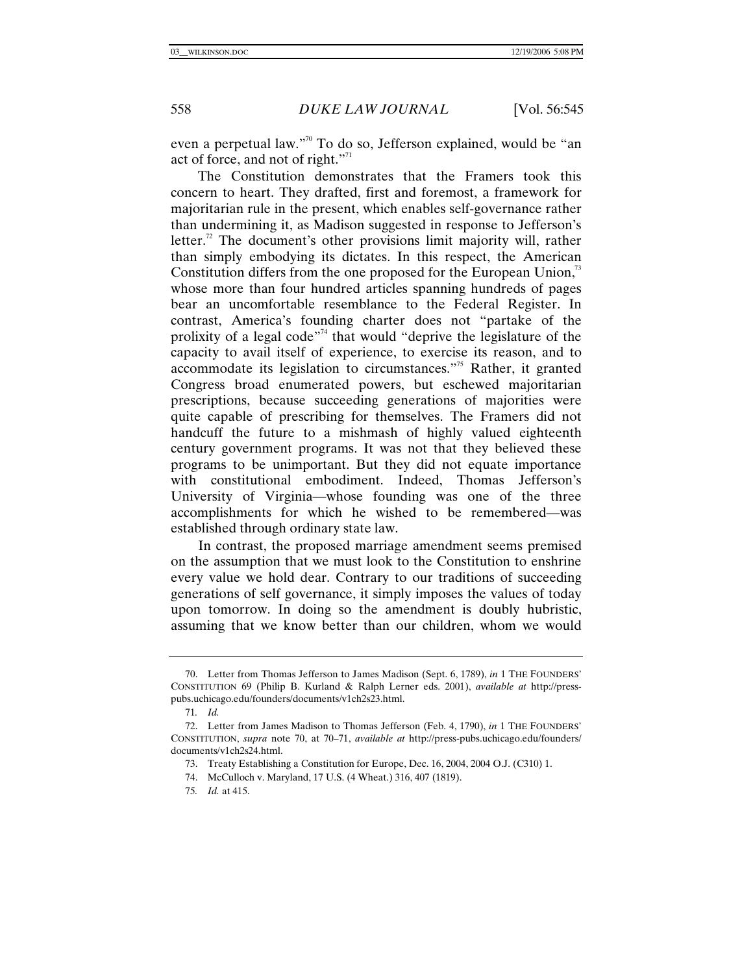even a perpetual law."<sup>70</sup> To do so, Jefferson explained, would be "an act of force, and not of right."<sup>71</sup>

The Constitution demonstrates that the Framers took this concern to heart. They drafted, first and foremost, a framework for majoritarian rule in the present, which enables self-governance rather than undermining it, as Madison suggested in response to Jefferson's letter.<sup>72</sup> The document's other provisions limit majority will, rather than simply embodying its dictates. In this respect, the American Constitution differs from the one proposed for the European Union, $\frac{3}{2}$ whose more than four hundred articles spanning hundreds of pages bear an uncomfortable resemblance to the Federal Register. In contrast, America's founding charter does not "partake of the prolixity of a legal code"<sup> $74$ </sup> that would "deprive the legislature of the capacity to avail itself of experience, to exercise its reason, and to accommodate its legislation to circumstances."75 Rather, it granted Congress broad enumerated powers, but eschewed majoritarian prescriptions, because succeeding generations of majorities were quite capable of prescribing for themselves. The Framers did not handcuff the future to a mishmash of highly valued eighteenth century government programs. It was not that they believed these programs to be unimportant. But they did not equate importance with constitutional embodiment. Indeed, Thomas Jefferson's University of Virginia—whose founding was one of the three accomplishments for which he wished to be remembered—was established through ordinary state law.

In contrast, the proposed marriage amendment seems premised on the assumption that we must look to the Constitution to enshrine every value we hold dear. Contrary to our traditions of succeeding generations of self governance, it simply imposes the values of today upon tomorrow. In doing so the amendment is doubly hubristic, assuming that we know better than our children, whom we would

 <sup>70.</sup> Letter from Thomas Jefferson to James Madison (Sept. 6, 1789), *in* 1 THE FOUNDERS' CONSTITUTION 69 (Philip B. Kurland & Ralph Lerner eds. 2001), *available at* http://presspubs.uchicago.edu/founders/documents/v1ch2s23.html.

<sup>71</sup>*. Id.*

 <sup>72.</sup> Letter from James Madison to Thomas Jefferson (Feb. 4, 1790), *in* 1 THE FOUNDERS' CONSTITUTION, *supra* note 70, at 70–71, *available at* http://press-pubs.uchicago.edu/founders/ documents/v1ch2s24.html.

 <sup>73.</sup> Treaty Establishing a Constitution for Europe, Dec. 16, 2004, 2004 O.J. (C310) 1.

 <sup>74.</sup> McCulloch v. Maryland, 17 U.S. (4 Wheat.) 316, 407 (1819).

<sup>75</sup>*. Id.* at 415.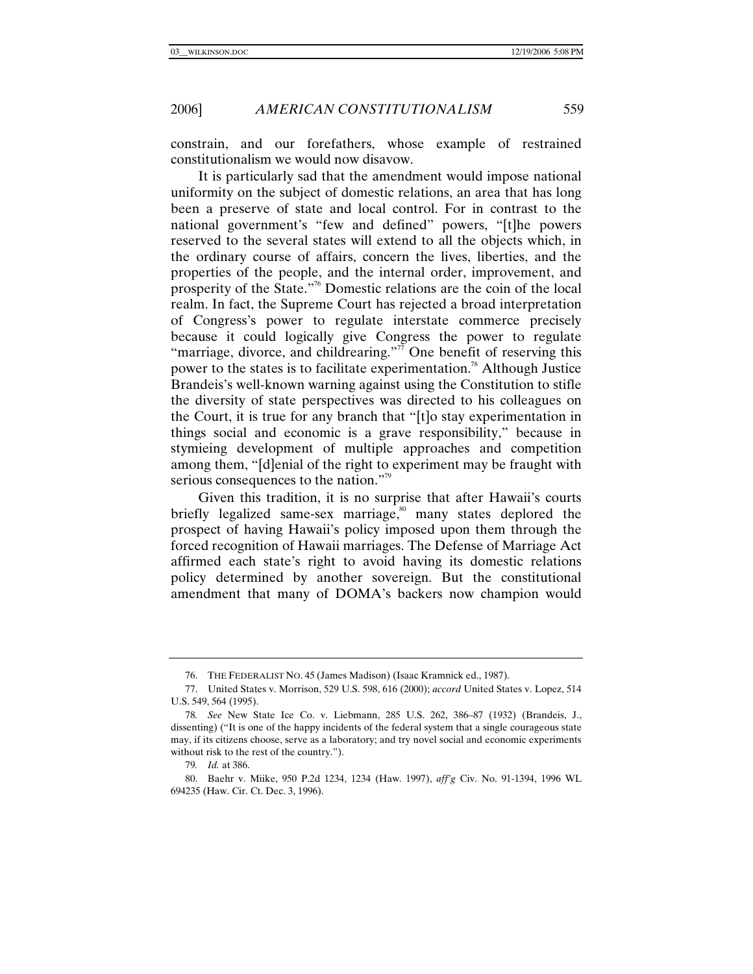constrain, and our forefathers, whose example of restrained constitutionalism we would now disavow.

It is particularly sad that the amendment would impose national uniformity on the subject of domestic relations, an area that has long been a preserve of state and local control. For in contrast to the national government's "few and defined" powers, "[t]he powers reserved to the several states will extend to all the objects which, in the ordinary course of affairs, concern the lives, liberties, and the properties of the people, and the internal order, improvement, and prosperity of the State."76 Domestic relations are the coin of the local realm. In fact, the Supreme Court has rejected a broad interpretation of Congress's power to regulate interstate commerce precisely because it could logically give Congress the power to regulate "marriage, divorce, and childrearing."<sup> $\bar{\tau}$ </sup> One benefit of reserving this power to the states is to facilitate experimentation.<sup>78</sup> Although Justice Brandeis's well-known warning against using the Constitution to stifle the diversity of state perspectives was directed to his colleagues on the Court, it is true for any branch that "[t]o stay experimentation in things social and economic is a grave responsibility," because in stymieing development of multiple approaches and competition among them, "[d]enial of the right to experiment may be fraught with serious consequences to the nation."<sup>79</sup>

Given this tradition, it is no surprise that after Hawaii's courts briefly legalized same-sex marriage,<sup>80</sup> many states deplored the prospect of having Hawaii's policy imposed upon them through the forced recognition of Hawaii marriages. The Defense of Marriage Act affirmed each state's right to avoid having its domestic relations policy determined by another sovereign. But the constitutional amendment that many of DOMA's backers now champion would

79*. Id.* at 386.

 <sup>76.</sup> THE FEDERALIST NO. 45 (James Madison) (Isaac Kramnick ed., 1987).

 <sup>77.</sup> United States v. Morrison, 529 U.S. 598, 616 (2000); *accord* United States v. Lopez, 514 U.S. 549, 564 (1995).

<sup>78</sup>*. See* New State Ice Co. v. Liebmann, 285 U.S. 262, 386–87 (1932) (Brandeis, J., dissenting) ("It is one of the happy incidents of the federal system that a single courageous state may, if its citizens choose, serve as a laboratory; and try novel social and economic experiments without risk to the rest of the country.").

 <sup>80.</sup> Baehr v. Miike, 950 P.2d 1234, 1234 (Haw. 1997), *aff'g* Civ. No. 91-1394, 1996 WL 694235 (Haw. Cir. Ct. Dec. 3, 1996).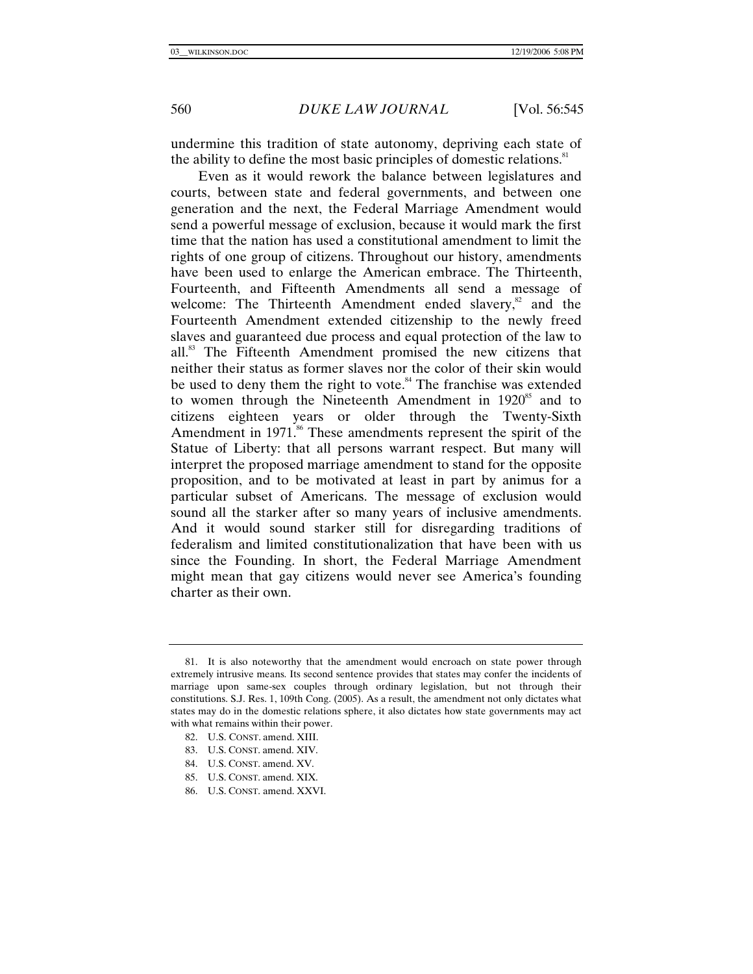undermine this tradition of state autonomy, depriving each state of the ability to define the most basic principles of domestic relations.<sup>81</sup>

Even as it would rework the balance between legislatures and courts, between state and federal governments, and between one generation and the next, the Federal Marriage Amendment would send a powerful message of exclusion, because it would mark the first time that the nation has used a constitutional amendment to limit the rights of one group of citizens. Throughout our history, amendments have been used to enlarge the American embrace. The Thirteenth, Fourteenth, and Fifteenth Amendments all send a message of welcome: The Thirteenth Amendment ended slavery, $\frac{82}{3}$  and the Fourteenth Amendment extended citizenship to the newly freed slaves and guaranteed due process and equal protection of the law to all.83 The Fifteenth Amendment promised the new citizens that neither their status as former slaves nor the color of their skin would be used to deny them the right to vote.<sup>84</sup> The franchise was extended to women through the Nineteenth Amendment in  $1920^{85}$  and to citizens eighteen years or older through the Twenty-Sixth Amendment in  $1971$ .<sup>86</sup> These amendments represent the spirit of the Statue of Liberty: that all persons warrant respect. But many will interpret the proposed marriage amendment to stand for the opposite proposition, and to be motivated at least in part by animus for a particular subset of Americans. The message of exclusion would sound all the starker after so many years of inclusive amendments. And it would sound starker still for disregarding traditions of federalism and limited constitutionalization that have been with us since the Founding. In short, the Federal Marriage Amendment might mean that gay citizens would never see America's founding charter as their own.

- 83. U.S. CONST. amend. XIV.
- 84. U.S. CONST. amend. XV.
- 85. U.S. CONST. amend. XIX.
- 86. U.S. CONST. amend. XXVI.

 <sup>81.</sup> It is also noteworthy that the amendment would encroach on state power through extremely intrusive means. Its second sentence provides that states may confer the incidents of marriage upon same-sex couples through ordinary legislation, but not through their constitutions. S.J. Res. 1, 109th Cong. (2005). As a result, the amendment not only dictates what states may do in the domestic relations sphere, it also dictates how state governments may act with what remains within their power.

 <sup>82.</sup> U.S. CONST. amend. XIII.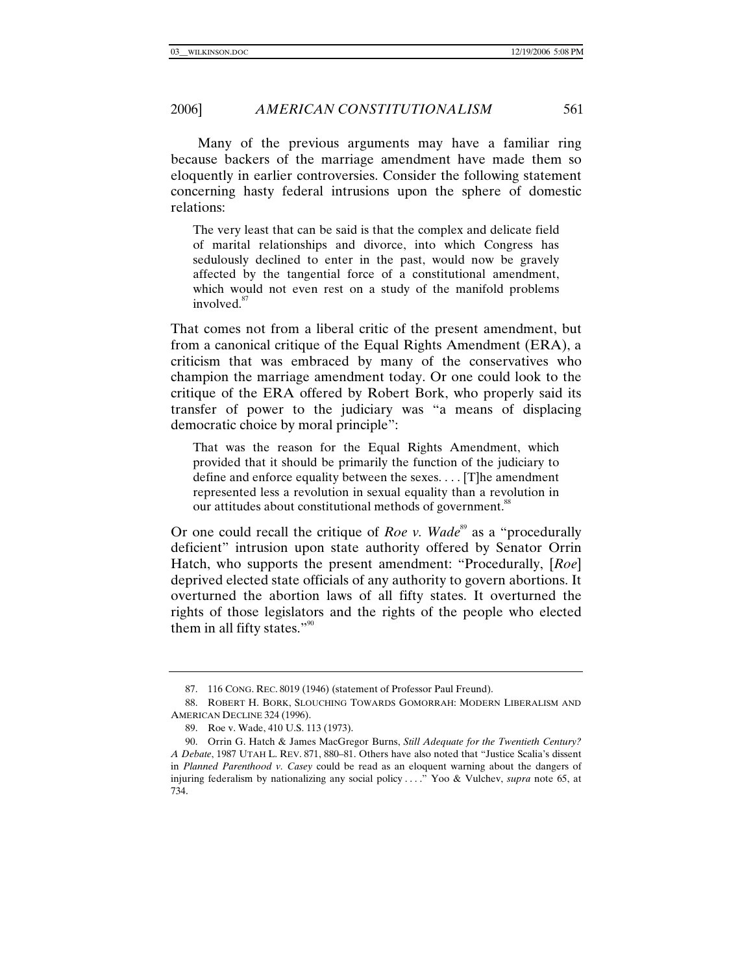Many of the previous arguments may have a familiar ring because backers of the marriage amendment have made them so eloquently in earlier controversies. Consider the following statement concerning hasty federal intrusions upon the sphere of domestic relations:

The very least that can be said is that the complex and delicate field of marital relationships and divorce, into which Congress has sedulously declined to enter in the past, would now be gravely affected by the tangential force of a constitutional amendment, which would not even rest on a study of the manifold problems involved.<sup>87</sup>

That comes not from a liberal critic of the present amendment, but from a canonical critique of the Equal Rights Amendment (ERA), a criticism that was embraced by many of the conservatives who champion the marriage amendment today. Or one could look to the critique of the ERA offered by Robert Bork, who properly said its transfer of power to the judiciary was "a means of displacing democratic choice by moral principle":

That was the reason for the Equal Rights Amendment, which provided that it should be primarily the function of the judiciary to define and enforce equality between the sexes. . . . [T]he amendment represented less a revolution in sexual equality than a revolution in our attitudes about constitutional methods of government.<sup>88</sup>

Or one could recall the critique of *Roe v. Wade*<sup>89</sup> as a "procedurally deficient" intrusion upon state authority offered by Senator Orrin Hatch, who supports the present amendment: "Procedurally, [*Roe*] deprived elected state officials of any authority to govern abortions. It overturned the abortion laws of all fifty states. It overturned the rights of those legislators and the rights of the people who elected them in all fifty states." $\frac{1}{2}$ <sup>90</sup>

 <sup>87. 116</sup> CONG. REC. 8019 (1946) (statement of Professor Paul Freund).

 <sup>88.</sup> ROBERT H. BORK, SLOUCHING TOWARDS GOMORRAH: MODERN LIBERALISM AND AMERICAN DECLINE 324 (1996).

 <sup>89.</sup> Roe v. Wade, 410 U.S. 113 (1973).

 <sup>90.</sup> Orrin G. Hatch & James MacGregor Burns, *Still Adequate for the Twentieth Century? A Debate*, 1987 UTAH L. REV. 871, 880–81. Others have also noted that "Justice Scalia's dissent in *Planned Parenthood v. Casey* could be read as an eloquent warning about the dangers of injuring federalism by nationalizing any social policy . . . ." Yoo & Vulchev, *supra* note 65, at 734.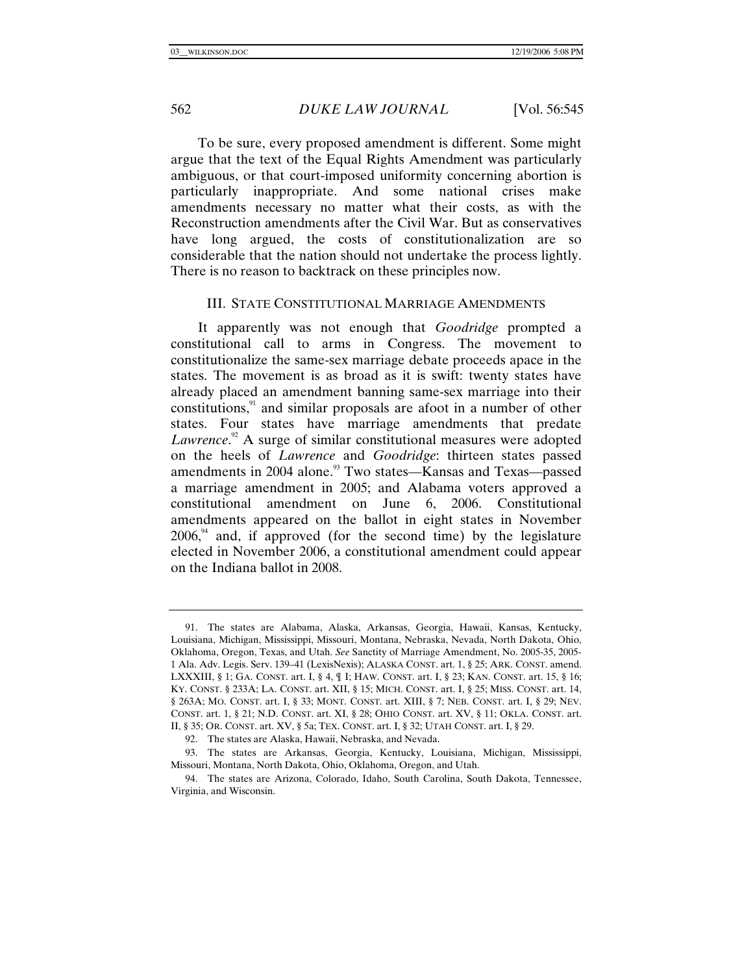To be sure, every proposed amendment is different. Some might argue that the text of the Equal Rights Amendment was particularly ambiguous, or that court-imposed uniformity concerning abortion is particularly inappropriate. And some national crises make amendments necessary no matter what their costs, as with the Reconstruction amendments after the Civil War. But as conservatives have long argued, the costs of constitutionalization are so considerable that the nation should not undertake the process lightly. There is no reason to backtrack on these principles now.

#### III. STATE CONSTITUTIONAL MARRIAGE AMENDMENTS

It apparently was not enough that *Goodridge* prompted a constitutional call to arms in Congress. The movement to constitutionalize the same-sex marriage debate proceeds apace in the states. The movement is as broad as it is swift: twenty states have already placed an amendment banning same-sex marriage into their constitutions, $91$  and similar proposals are afoot in a number of other states. Four states have marriage amendments that predate Lawrence.<sup>92</sup> A surge of similar constitutional measures were adopted on the heels of *Lawrence* and *Goodridge*: thirteen states passed amendments in 2004 alone.<sup>93</sup> Two states—Kansas and Texas—passed a marriage amendment in 2005; and Alabama voters approved a constitutional amendment on June 6, 2006. Constitutional amendments appeared on the ballot in eight states in November  $2006<sup>94</sup>$  and, if approved (for the second time) by the legislature elected in November 2006, a constitutional amendment could appear on the Indiana ballot in 2008.

 <sup>91.</sup> The states are Alabama, Alaska, Arkansas, Georgia, Hawaii, Kansas, Kentucky, Louisiana, Michigan, Mississippi, Missouri, Montana, Nebraska, Nevada, North Dakota, Ohio, Oklahoma, Oregon, Texas, and Utah. *See* Sanctity of Marriage Amendment, No. 2005-35, 2005- 1 Ala. Adv. Legis. Serv. 139–41 (LexisNexis); ALASKA CONST. art. 1, § 25; ARK. CONST. amend. LXXXIII, § 1; GA. CONST. art. I, § 4, ¶ I; HAW. CONST. art. I, § 23; KAN. CONST. art. 15, § 16; KY. CONST. § 233A; LA. CONST. art. XII, § 15; MICH. CONST. art. I, § 25; MISS. CONST. art. 14, § 263A; MO. CONST. art. I, § 33; MONT. CONST. art. XIII, § 7; NEB. CONST. art. I, § 29; NEV. CONST. art. 1, § 21; N.D. CONST. art. XI, § 28; OHIO CONST. art. XV, § 11; OKLA. CONST. art. II, § 35; OR. CONST. art. XV, § 5a; TEX. CONST. art. I, § 32; UTAH CONST. art. I, § 29.

 <sup>92.</sup> The states are Alaska, Hawaii, Nebraska, and Nevada.

 <sup>93.</sup> The states are Arkansas, Georgia, Kentucky, Louisiana, Michigan, Mississippi, Missouri, Montana, North Dakota, Ohio, Oklahoma, Oregon, and Utah.

 <sup>94.</sup> The states are Arizona, Colorado, Idaho, South Carolina, South Dakota, Tennessee, Virginia, and Wisconsin.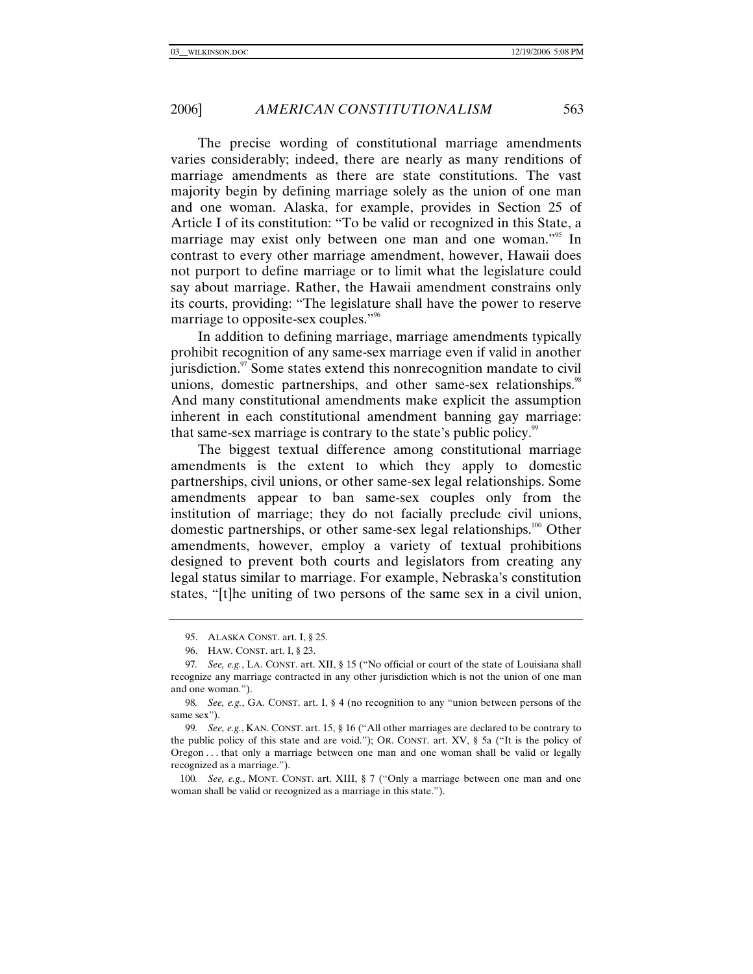The precise wording of constitutional marriage amendments varies considerably; indeed, there are nearly as many renditions of marriage amendments as there are state constitutions. The vast majority begin by defining marriage solely as the union of one man and one woman. Alaska, for example, provides in Section 25 of Article I of its constitution: "To be valid or recognized in this State, a marriage may exist only between one man and one woman."<sup>95</sup> In contrast to every other marriage amendment, however, Hawaii does not purport to define marriage or to limit what the legislature could say about marriage. Rather, the Hawaii amendment constrains only its courts, providing: "The legislature shall have the power to reserve marriage to opposite-sex couples."<sup>96</sup>

In addition to defining marriage, marriage amendments typically prohibit recognition of any same-sex marriage even if valid in another  $j$ urisdiction. $\frac{97}{2}$  Some states extend this nonrecognition mandate to civil unions, domestic partnerships, and other same-sex relationships.<sup>98</sup> And many constitutional amendments make explicit the assumption inherent in each constitutional amendment banning gay marriage: that same-sex marriage is contrary to the state's public policy.<sup>99</sup>

The biggest textual difference among constitutional marriage amendments is the extent to which they apply to domestic partnerships, civil unions, or other same-sex legal relationships. Some amendments appear to ban same-sex couples only from the institution of marriage; they do not facially preclude civil unions, domestic partnerships, or other same-sex legal relationships.<sup>100</sup> Other amendments, however, employ a variety of textual prohibitions designed to prevent both courts and legislators from creating any legal status similar to marriage. For example, Nebraska's constitution states, "[t]he uniting of two persons of the same sex in a civil union,

 <sup>95.</sup> ALASKA CONST. art. I, § 25.

 <sup>96.</sup> HAW. CONST. art. I, § 23.

<sup>97</sup>*. See, e.g.*, LA. CONST. art. XII, § 15 ("No official or court of the state of Louisiana shall recognize any marriage contracted in any other jurisdiction which is not the union of one man and one woman.").

<sup>98</sup>*. See, e.g.*, GA. CONST. art. I, § 4 (no recognition to any "union between persons of the same sex").

<sup>99</sup>*. See, e.g.*, KAN. CONST. art. 15, § 16 ("All other marriages are declared to be contrary to the public policy of this state and are void."); OR. CONST. art. XV, § 5a ("It is the policy of Oregon . . . that only a marriage between one man and one woman shall be valid or legally recognized as a marriage.").

<sup>100</sup>*. See, e.g.*, MONT. CONST. art. XIII, § 7 ("Only a marriage between one man and one woman shall be valid or recognized as a marriage in this state.").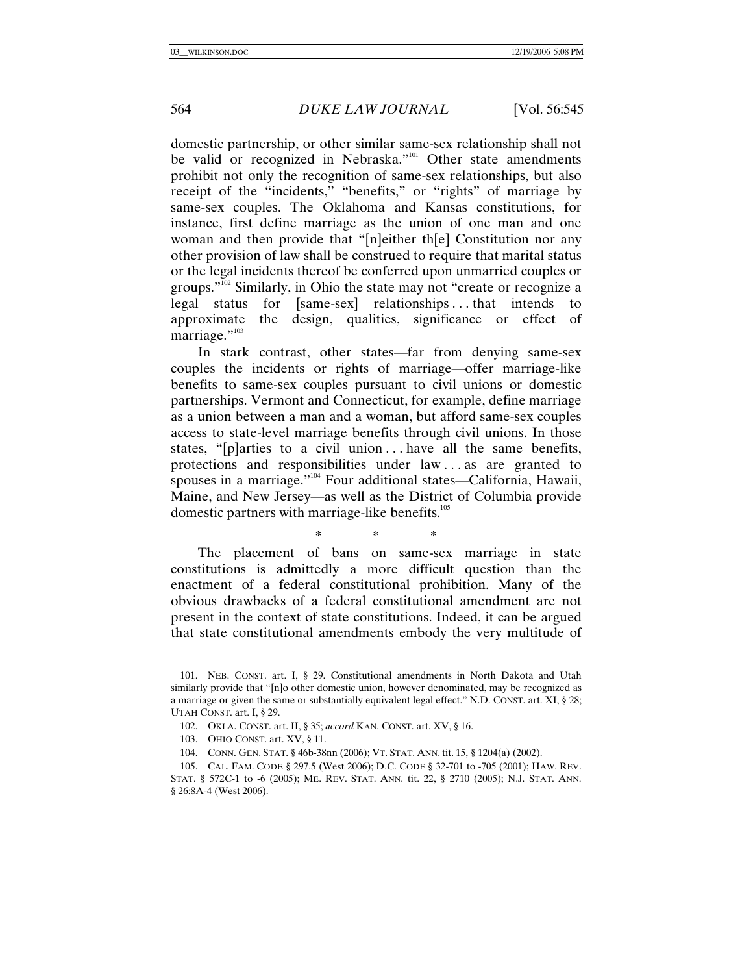domestic partnership, or other similar same-sex relationship shall not be valid or recognized in Nebraska."<sup>101</sup> Other state amendments prohibit not only the recognition of same-sex relationships, but also receipt of the "incidents," "benefits," or "rights" of marriage by same-sex couples. The Oklahoma and Kansas constitutions, for instance, first define marriage as the union of one man and one woman and then provide that "[n]either th[e] Constitution nor any other provision of law shall be construed to require that marital status or the legal incidents thereof be conferred upon unmarried couples or groups." $\overline{102}$  Similarly, in Ohio the state may not "create or recognize a legal status for [same-sex] relationships . . . that intends to approximate the design, qualities, significance or effect of marriage."<sup>103</sup>

In stark contrast, other states—far from denying same-sex couples the incidents or rights of marriage—offer marriage-like benefits to same-sex couples pursuant to civil unions or domestic partnerships. Vermont and Connecticut, for example, define marriage as a union between a man and a woman, but afford same-sex couples access to state-level marriage benefits through civil unions. In those states, "[p]arties to a civil union ... have all the same benefits, protections and responsibilities under law . . . as are granted to spouses in a marriage."<sup>104</sup> Four additional states—California, Hawaii, Maine, and New Jersey—as well as the District of Columbia provide domestic partners with marriage-like benefits.<sup>105</sup>

\* \* \*

The placement of bans on same-sex marriage in state constitutions is admittedly a more difficult question than the enactment of a federal constitutional prohibition. Many of the obvious drawbacks of a federal constitutional amendment are not present in the context of state constitutions. Indeed, it can be argued that state constitutional amendments embody the very multitude of

 <sup>101.</sup> NEB. CONST. art. I, § 29. Constitutional amendments in North Dakota and Utah similarly provide that "[n]o other domestic union, however denominated, may be recognized as a marriage or given the same or substantially equivalent legal effect." N.D. CONST. art. XI, § 28; UTAH CONST. art. I, § 29.

 <sup>102.</sup> OKLA. CONST. art. II, § 35; *accord* KAN. CONST. art. XV, § 16.

 <sup>103.</sup> OHIO CONST. art. XV, § 11.

 <sup>104.</sup> CONN. GEN. STAT. § 46b-38nn (2006); VT. STAT. ANN. tit. 15, § 1204(a) (2002).

 <sup>105.</sup> CAL. FAM. CODE § 297.5 (West 2006); D.C. CODE § 32-701 to -705 (2001); HAW. REV. STAT. § 572C-1 to -6 (2005); ME. REV. STAT. ANN. tit. 22, § 2710 (2005); N.J. STAT. ANN. § 26:8A-4 (West 2006).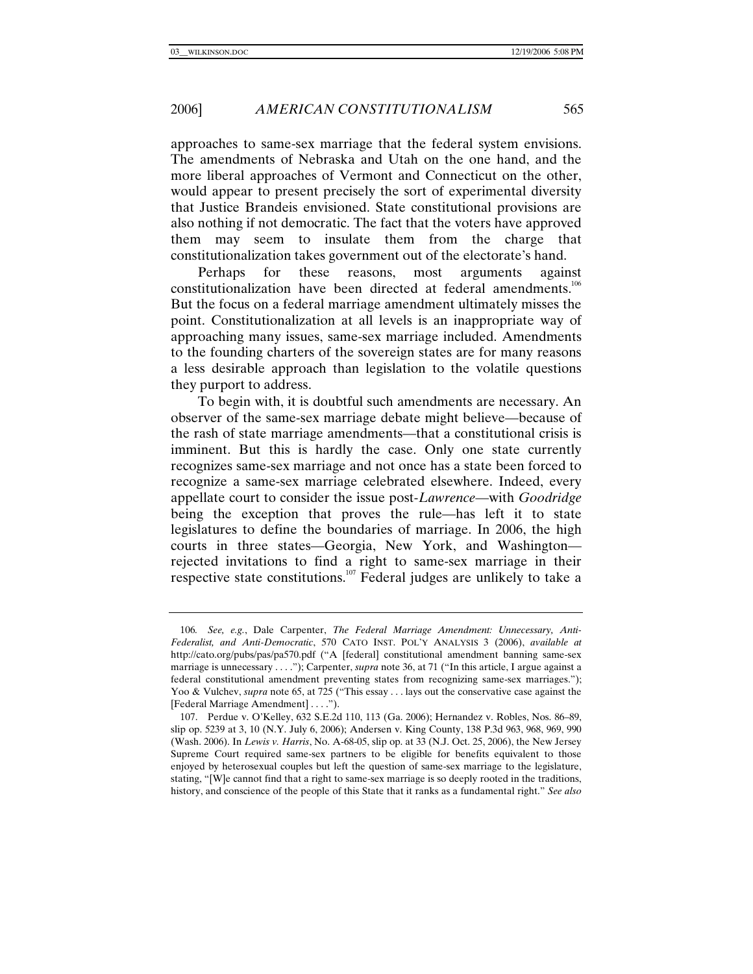approaches to same-sex marriage that the federal system envisions. The amendments of Nebraska and Utah on the one hand, and the more liberal approaches of Vermont and Connecticut on the other, would appear to present precisely the sort of experimental diversity that Justice Brandeis envisioned. State constitutional provisions are also nothing if not democratic. The fact that the voters have approved them may seem to insulate them from the charge that constitutionalization takes government out of the electorate's hand.

Perhaps for these reasons, most arguments against constitutionalization have been directed at federal amendments.<sup>106</sup> But the focus on a federal marriage amendment ultimately misses the point. Constitutionalization at all levels is an inappropriate way of approaching many issues, same-sex marriage included. Amendments to the founding charters of the sovereign states are for many reasons a less desirable approach than legislation to the volatile questions they purport to address.

To begin with, it is doubtful such amendments are necessary. An observer of the same-sex marriage debate might believe—because of the rash of state marriage amendments—that a constitutional crisis is imminent. But this is hardly the case. Only one state currently recognizes same-sex marriage and not once has a state been forced to recognize a same-sex marriage celebrated elsewhere. Indeed, every appellate court to consider the issue post-*Lawrence*—with *Goodridge* being the exception that proves the rule—has left it to state legislatures to define the boundaries of marriage. In 2006, the high courts in three states—Georgia, New York, and Washington rejected invitations to find a right to same-sex marriage in their respective state constitutions.107 Federal judges are unlikely to take a

<sup>106</sup>*. See, e.g.*, Dale Carpenter, *The Federal Marriage Amendment: Unnecessary, Anti-Federalist, and Anti-Democratic*, 570 CATO INST. POL'Y ANALYSIS 3 (2006), *available at* http://cato.org/pubs/pas/pa570.pdf ("A [federal] constitutional amendment banning same-sex marriage is unnecessary . . . ."); Carpenter, *supra* note 36, at 71 ("In this article, I argue against a federal constitutional amendment preventing states from recognizing same-sex marriages."); Yoo & Vulchev, *supra* note 65, at 725 ("This essay . . . lays out the conservative case against the [Federal Marriage Amendment] . . . .").

 <sup>107.</sup> Perdue v. O'Kelley, 632 S.E.2d 110, 113 (Ga. 2006); Hernandez v. Robles, Nos. 86–89, slip op. 5239 at 3, 10 (N.Y. July 6, 2006); Andersen v. King County, 138 P.3d 963, 968, 969, 990 (Wash. 2006). In *Lewis v. Harris*, No. A-68-05, slip op. at 33 (N.J. Oct. 25, 2006), the New Jersey Supreme Court required same-sex partners to be eligible for benefits equivalent to those enjoyed by heterosexual couples but left the question of same-sex marriage to the legislature, stating, "[W]e cannot find that a right to same-sex marriage is so deeply rooted in the traditions, history, and conscience of the people of this State that it ranks as a fundamental right." *See also*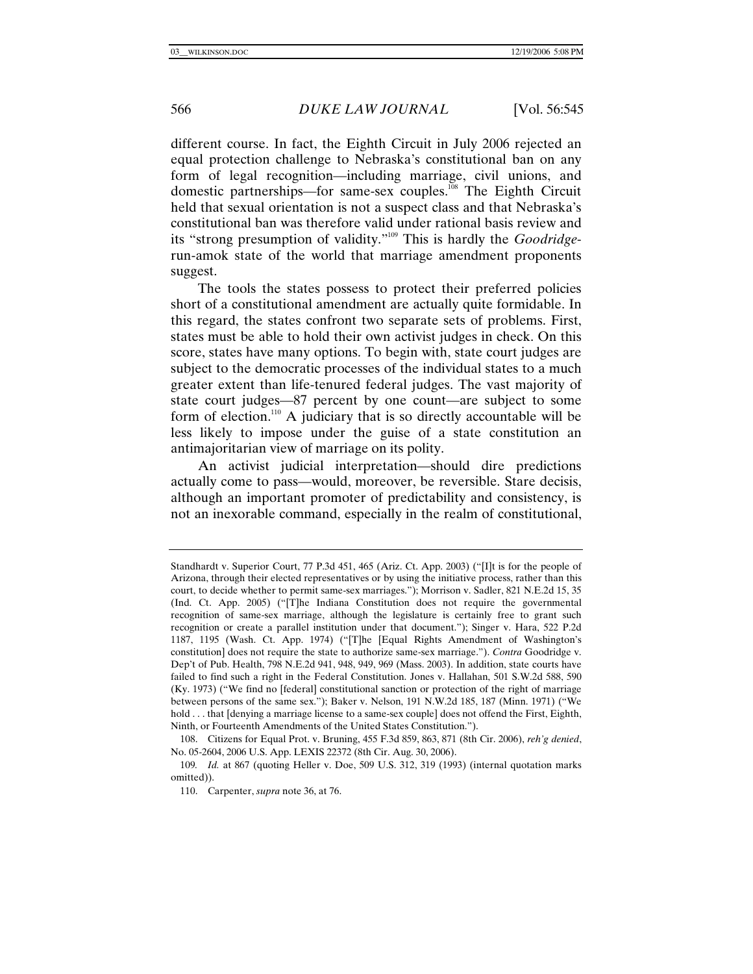different course. In fact, the Eighth Circuit in July 2006 rejected an equal protection challenge to Nebraska's constitutional ban on any form of legal recognition—including marriage, civil unions, and domestic partnerships—for same-sex couples.<sup>108</sup> The Eighth Circuit held that sexual orientation is not a suspect class and that Nebraska's constitutional ban was therefore valid under rational basis review and its "strong presumption of validity."109 This is hardly the *Goodridge*run-amok state of the world that marriage amendment proponents suggest.

The tools the states possess to protect their preferred policies short of a constitutional amendment are actually quite formidable. In this regard, the states confront two separate sets of problems. First, states must be able to hold their own activist judges in check. On this score, states have many options. To begin with, state court judges are subject to the democratic processes of the individual states to a much greater extent than life-tenured federal judges. The vast majority of state court judges—87 percent by one count—are subject to some form of election.<sup>110</sup> A judiciary that is so directly accountable will be less likely to impose under the guise of a state constitution an antimajoritarian view of marriage on its polity.

An activist judicial interpretation—should dire predictions actually come to pass—would, moreover, be reversible. Stare decisis, although an important promoter of predictability and consistency, is not an inexorable command, especially in the realm of constitutional,

Standhardt v. Superior Court, 77 P.3d 451, 465 (Ariz. Ct. App. 2003) ("[I]t is for the people of Arizona, through their elected representatives or by using the initiative process, rather than this court, to decide whether to permit same-sex marriages."); Morrison v. Sadler, 821 N.E.2d 15, 35 (Ind. Ct. App. 2005) ("[T]he Indiana Constitution does not require the governmental recognition of same-sex marriage, although the legislature is certainly free to grant such recognition or create a parallel institution under that document."); Singer v. Hara, 522 P.2d 1187, 1195 (Wash. Ct. App. 1974) ("[T]he [Equal Rights Amendment of Washington's constitution] does not require the state to authorize same-sex marriage."). *Contra* Goodridge v. Dep't of Pub. Health, 798 N.E.2d 941, 948, 949, 969 (Mass. 2003). In addition, state courts have failed to find such a right in the Federal Constitution. Jones v. Hallahan, 501 S.W.2d 588, 590 (Ky. 1973) ("We find no [federal] constitutional sanction or protection of the right of marriage between persons of the same sex."); Baker v. Nelson, 191 N.W.2d 185, 187 (Minn. 1971) ("We hold . . . that [denying a marriage license to a same-sex couple] does not offend the First, Eighth, Ninth, or Fourteenth Amendments of the United States Constitution.").

 <sup>108.</sup> Citizens for Equal Prot. v. Bruning, 455 F.3d 859, 863, 871 (8th Cir. 2006), *reh'g denied*, No. 05-2604, 2006 U.S. App. LEXIS 22372 (8th Cir. Aug. 30, 2006).

<sup>109</sup>*. Id.* at 867 (quoting Heller v. Doe, 509 U.S. 312, 319 (1993) (internal quotation marks omitted)).

 <sup>110.</sup> Carpenter, *supra* note 36, at 76.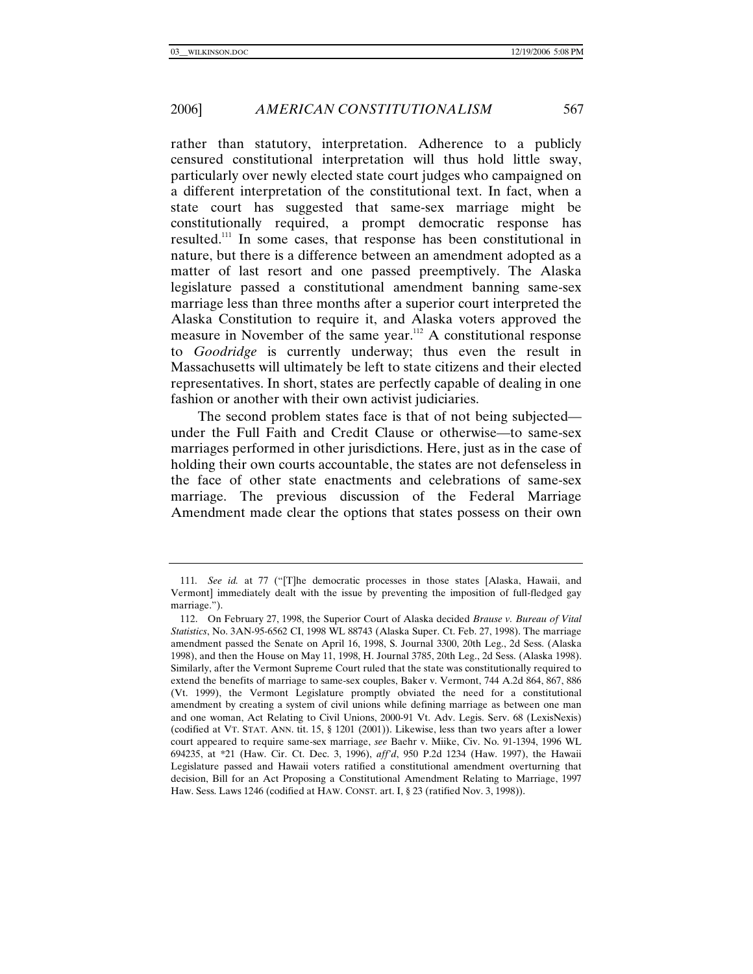rather than statutory, interpretation. Adherence to a publicly censured constitutional interpretation will thus hold little sway, particularly over newly elected state court judges who campaigned on a different interpretation of the constitutional text. In fact, when a state court has suggested that same-sex marriage might be constitutionally required, a prompt democratic response has resulted.111 In some cases, that response has been constitutional in nature, but there is a difference between an amendment adopted as a matter of last resort and one passed preemptively. The Alaska legislature passed a constitutional amendment banning same-sex marriage less than three months after a superior court interpreted the Alaska Constitution to require it, and Alaska voters approved the measure in November of the same year.<sup>112</sup> A constitutional response to *Goodridge* is currently underway; thus even the result in Massachusetts will ultimately be left to state citizens and their elected representatives. In short, states are perfectly capable of dealing in one fashion or another with their own activist judiciaries.

The second problem states face is that of not being subjected under the Full Faith and Credit Clause or otherwise—to same-sex marriages performed in other jurisdictions. Here, just as in the case of holding their own courts accountable, the states are not defenseless in the face of other state enactments and celebrations of same-sex marriage. The previous discussion of the Federal Marriage Amendment made clear the options that states possess on their own

<sup>111</sup>*. See id.* at 77 ("[T]he democratic processes in those states [Alaska, Hawaii, and Vermont] immediately dealt with the issue by preventing the imposition of full-fledged gay marriage.").

 <sup>112.</sup> On February 27, 1998, the Superior Court of Alaska decided *Brause v. Bureau of Vital Statistics*, No. 3AN-95-6562 CI, 1998 WL 88743 (Alaska Super. Ct. Feb. 27, 1998). The marriage amendment passed the Senate on April 16, 1998, S. Journal 3300, 20th Leg., 2d Sess. (Alaska 1998), and then the House on May 11, 1998, H. Journal 3785, 20th Leg., 2d Sess. (Alaska 1998). Similarly, after the Vermont Supreme Court ruled that the state was constitutionally required to extend the benefits of marriage to same-sex couples, Baker v. Vermont, 744 A.2d 864, 867, 886 (Vt. 1999), the Vermont Legislature promptly obviated the need for a constitutional amendment by creating a system of civil unions while defining marriage as between one man and one woman, Act Relating to Civil Unions, 2000-91 Vt. Adv. Legis. Serv. 68 (LexisNexis) (codified at VT. STAT. ANN. tit. 15, § 1201 (2001)). Likewise, less than two years after a lower court appeared to require same-sex marriage, *see* Baehr v. Miike, Civ. No. 91-1394, 1996 WL 694235, at \*21 (Haw. Cir. Ct. Dec. 3, 1996), *aff'd*, 950 P.2d 1234 (Haw. 1997), the Hawaii Legislature passed and Hawaii voters ratified a constitutional amendment overturning that decision, Bill for an Act Proposing a Constitutional Amendment Relating to Marriage, 1997 Haw. Sess. Laws 1246 (codified at HAW. CONST. art. I, § 23 (ratified Nov. 3, 1998)).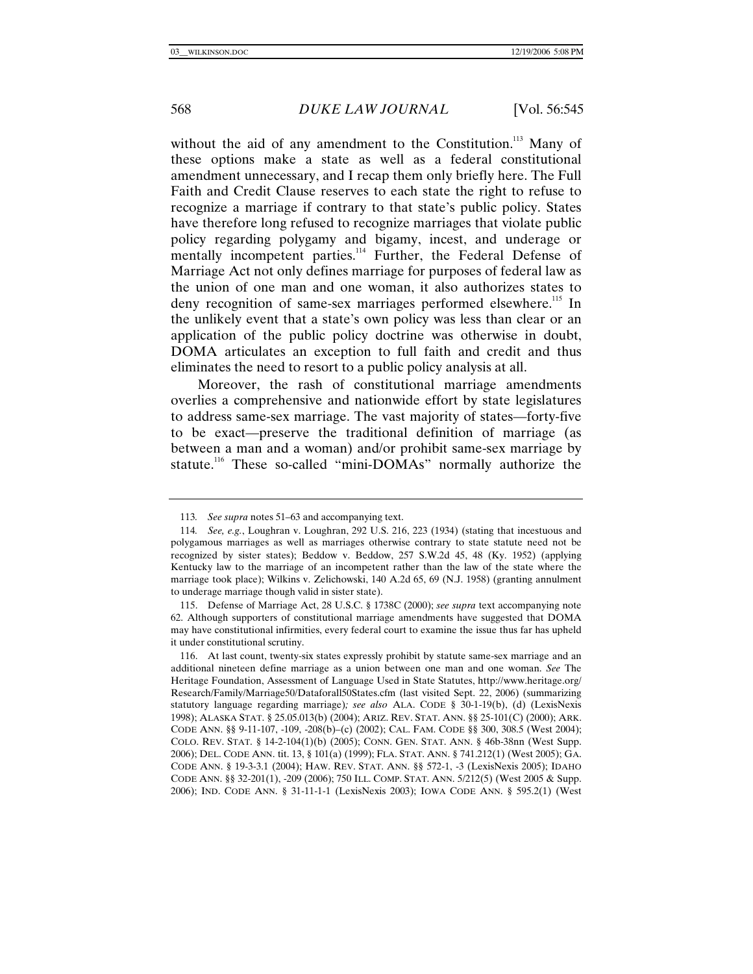without the aid of any amendment to the Constitution.<sup>113</sup> Many of these options make a state as well as a federal constitutional amendment unnecessary, and I recap them only briefly here. The Full Faith and Credit Clause reserves to each state the right to refuse to recognize a marriage if contrary to that state's public policy. States have therefore long refused to recognize marriages that violate public policy regarding polygamy and bigamy, incest, and underage or mentally incompetent parties.<sup>114</sup> Further, the Federal Defense of Marriage Act not only defines marriage for purposes of federal law as the union of one man and one woman, it also authorizes states to deny recognition of same-sex marriages performed elsewhere.<sup>115</sup> In the unlikely event that a state's own policy was less than clear or an application of the public policy doctrine was otherwise in doubt, DOMA articulates an exception to full faith and credit and thus eliminates the need to resort to a public policy analysis at all.

Moreover, the rash of constitutional marriage amendments overlies a comprehensive and nationwide effort by state legislatures to address same-sex marriage. The vast majority of states—forty-five to be exact—preserve the traditional definition of marriage (as between a man and a woman) and/or prohibit same-sex marriage by statute.<sup>116</sup> These so-called "mini-DOMAs" normally authorize the

<sup>113</sup>*. See supra* notes 51–63 and accompanying text.

<sup>114</sup>*. See, e.g.*, Loughran v. Loughran, 292 U.S. 216, 223 (1934) (stating that incestuous and polygamous marriages as well as marriages otherwise contrary to state statute need not be recognized by sister states); Beddow v. Beddow, 257 S.W.2d 45, 48 (Ky. 1952) (applying Kentucky law to the marriage of an incompetent rather than the law of the state where the marriage took place); Wilkins v. Zelichowski, 140 A.2d 65, 69 (N.J. 1958) (granting annulment to underage marriage though valid in sister state).

 <sup>115.</sup> Defense of Marriage Act, 28 U.S.C. § 1738C (2000); *see supra* text accompanying note 62. Although supporters of constitutional marriage amendments have suggested that DOMA may have constitutional infirmities, every federal court to examine the issue thus far has upheld it under constitutional scrutiny.

 <sup>116.</sup> At last count, twenty-six states expressly prohibit by statute same-sex marriage and an additional nineteen define marriage as a union between one man and one woman. *See* The Heritage Foundation, Assessment of Language Used in State Statutes, http://www.heritage.org/ Research/Family/Marriage50/Dataforall50States.cfm (last visited Sept. 22, 2006) (summarizing statutory language regarding marriage)*; see also* ALA. CODE § 30-1-19(b), (d) (LexisNexis 1998); ALASKA STAT. § 25.05.013(b) (2004); ARIZ. REV. STAT. ANN. §§ 25-101(C) (2000); ARK. CODE ANN. §§ 9-11-107, -109, -208(b)–(c) (2002); CAL. FAM. CODE §§ 300, 308.5 (West 2004); COLO. REV. STAT. § 14-2-104(1)(b) (2005); CONN. GEN. STAT. ANN. § 46b-38nn (West Supp. 2006); DEL. CODE ANN. tit. 13, § 101(a) (1999); FLA. STAT. ANN. § 741.212(1) (West 2005); GA. CODE ANN. § 19-3-3.1 (2004); HAW. REV. STAT. ANN. §§ 572-1, -3 (LexisNexis 2005); IDAHO CODE ANN. §§ 32-201(1), -209 (2006); 750 ILL. COMP. STAT. ANN. 5/212(5) (West 2005 & Supp. 2006); IND. CODE ANN. § 31-11-1-1 (LexisNexis 2003); IOWA CODE ANN. § 595.2(1) (West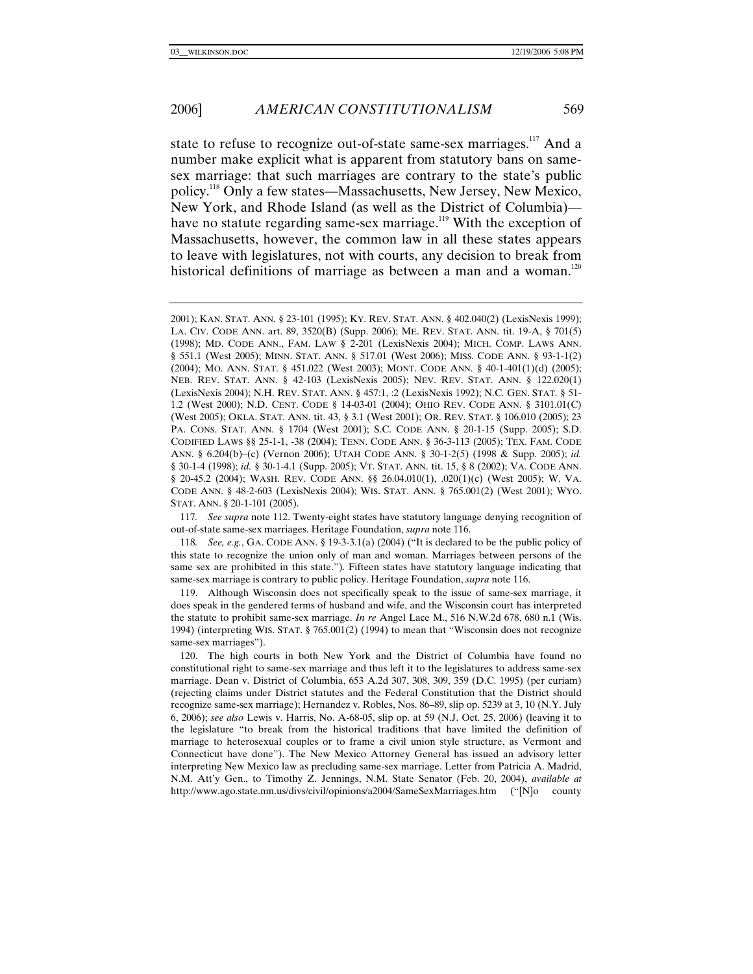## 2006] *AMERICAN CONSTITUTIONALISM* 569

state to refuse to recognize out-of-state same-sex marriages.<sup>117</sup> And a number make explicit what is apparent from statutory bans on samesex marriage: that such marriages are contrary to the state's public policy.118 Only a few states—Massachusetts, New Jersey, New Mexico, New York, and Rhode Island (as well as the District of Columbia) have no statute regarding same-sex marriage.<sup>119</sup> With the exception of Massachusetts, however, the common law in all these states appears to leave with legislatures, not with courts, any decision to break from historical definitions of marriage as between a man and a woman.<sup>120</sup>

117*. See supra* note 112. Twenty-eight states have statutory language denying recognition of out-of-state same-sex marriages. Heritage Foundation, *supra* note 116.

118*. See, e.g.*, GA. CODE ANN. § 19-3-3.1(a) (2004) ("It is declared to be the public policy of this state to recognize the union only of man and woman. Marriages between persons of the same sex are prohibited in this state."). Fifteen states have statutory language indicating that same-sex marriage is contrary to public policy. Heritage Foundation, *supra* note 116.

 119. Although Wisconsin does not specifically speak to the issue of same-sex marriage, it does speak in the gendered terms of husband and wife, and the Wisconsin court has interpreted the statute to prohibit same-sex marriage. *In re* Angel Lace M., 516 N.W.2d 678, 680 n.1 (Wis. 1994) (interpreting WIS. STAT. § 765.001(2) (1994) to mean that "Wisconsin does not recognize same-sex marriages").

 120. The high courts in both New York and the District of Columbia have found no constitutional right to same-sex marriage and thus left it to the legislatures to address same-sex marriage. Dean v. District of Columbia, 653 A.2d 307, 308, 309, 359 (D.C. 1995) (per curiam) (rejecting claims under District statutes and the Federal Constitution that the District should recognize same-sex marriage); Hernandez v. Robles, Nos. 86–89, slip op. 5239 at 3, 10 (N.Y. July 6, 2006); *see also* Lewis v. Harris, No. A-68-05, slip op. at 59 (N.J. Oct. 25, 2006) (leaving it to the legislature "to break from the historical traditions that have limited the definition of marriage to heterosexual couples or to frame a civil union style structure, as Vermont and Connecticut have done"). The New Mexico Attorney General has issued an advisory letter interpreting New Mexico law as precluding same-sex marriage. Letter from Patricia A. Madrid, N.M. Att'y Gen., to Timothy Z. Jennings, N.M. State Senator (Feb. 20, 2004), *available at* http://www.ago.state.nm.us/divs/civil/opinions/a2004/SameSexMarriages.htm ("[N]o county

<sup>2001);</sup> KAN. STAT. ANN. § 23-101 (1995); KY. REV. STAT. ANN. § 402.040(2) (LexisNexis 1999); LA. CIV. CODE ANN. art. 89, 3520(B) (Supp. 2006); ME. REV. STAT. ANN. tit. 19-A, § 701(5) (1998); MD. CODE ANN., FAM. LAW § 2-201 (LexisNexis 2004); MICH. COMP. LAWS ANN. § 551.1 (West 2005); MINN. STAT. ANN. § 517.01 (West 2006); MISS. CODE ANN. § 93-1-1(2) (2004); MO. ANN. STAT. § 451.022 (West 2003); MONT. CODE ANN. § 40-1-401(1)(d) (2005); NEB. REV. STAT. ANN. § 42-103 (LexisNexis 2005); NEV. REV. STAT. ANN. § 122.020(1) (LexisNexis 2004); N.H. REV. STAT. ANN. § 457:1, :2 (LexisNexis 1992); N.C. GEN. STAT. § 51- 1.2 (West 2000); N.D. CENT. CODE § 14-03-01 (2004); OHIO REV. CODE ANN. § 3101.01(C) (West 2005); OKLA. STAT. ANN. tit. 43, § 3.1 (West 2001); OR. REV. STAT. § 106.010 (2005); 23 PA. CONS. STAT. ANN. § 1704 (West 2001); S.C. CODE ANN. § 20-1-15 (Supp. 2005); S.D. CODIFIED LAWS §§ 25-1-1, -38 (2004); TENN. CODE ANN. § 36-3-113 (2005); TEX. FAM. CODE ANN. § 6.204(b)–(c) (Vernon 2006); UTAH CODE ANN. § 30-1-2(5) (1998 & Supp. 2005); *id.* § 30-1-4 (1998); *id.* § 30-1-4.1 (Supp. 2005); VT. STAT. ANN. tit. 15, § 8 (2002); VA. CODE ANN. § 20-45.2 (2004); WASH. REV. CODE ANN. §§ 26.04.010(1), .020(1)(c) (West 2005); W. VA. CODE ANN. § 48-2-603 (LexisNexis 2004); WIS. STAT. ANN. § 765.001(2) (West 2001); WYO. STAT. ANN. § 20-1-101 (2005).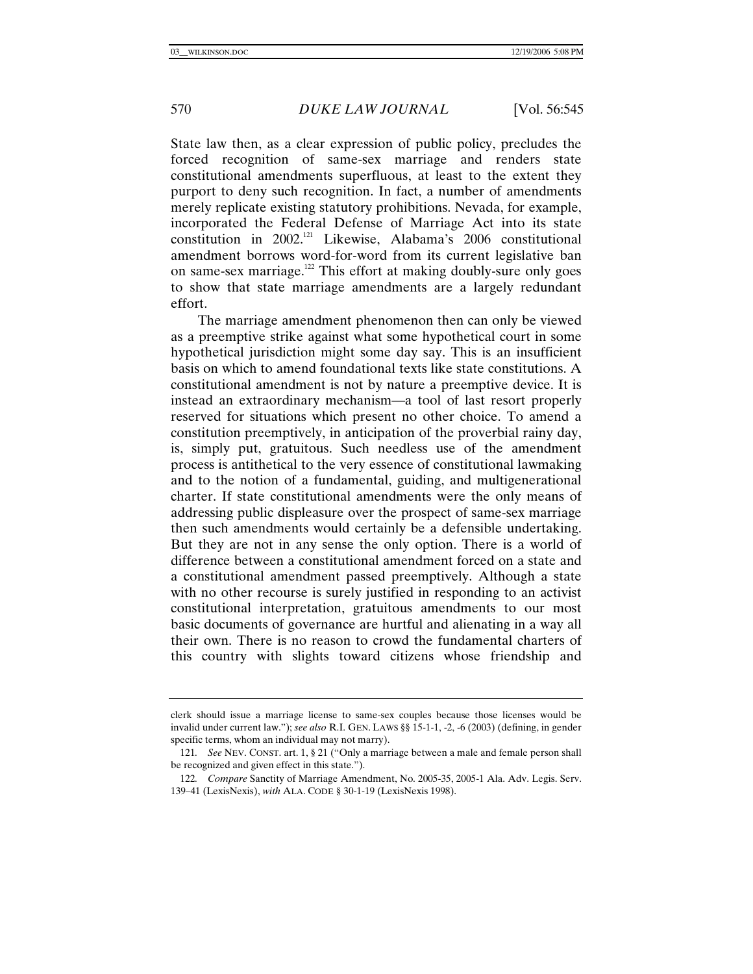State law then, as a clear expression of public policy, precludes the forced recognition of same-sex marriage and renders state constitutional amendments superfluous, at least to the extent they purport to deny such recognition. In fact, a number of amendments merely replicate existing statutory prohibitions. Nevada, for example, incorporated the Federal Defense of Marriage Act into its state constitution in 2002.<sup>121</sup> Likewise, Alabama's 2006 constitutional amendment borrows word-for-word from its current legislative ban on same-sex marriage.<sup>122</sup> This effort at making doubly-sure only goes to show that state marriage amendments are a largely redundant effort.

The marriage amendment phenomenon then can only be viewed as a preemptive strike against what some hypothetical court in some hypothetical jurisdiction might some day say. This is an insufficient basis on which to amend foundational texts like state constitutions. A constitutional amendment is not by nature a preemptive device. It is instead an extraordinary mechanism—a tool of last resort properly reserved for situations which present no other choice. To amend a constitution preemptively, in anticipation of the proverbial rainy day, is, simply put, gratuitous. Such needless use of the amendment process is antithetical to the very essence of constitutional lawmaking and to the notion of a fundamental, guiding, and multigenerational charter. If state constitutional amendments were the only means of addressing public displeasure over the prospect of same-sex marriage then such amendments would certainly be a defensible undertaking. But they are not in any sense the only option. There is a world of difference between a constitutional amendment forced on a state and a constitutional amendment passed preemptively. Although a state with no other recourse is surely justified in responding to an activist constitutional interpretation, gratuitous amendments to our most basic documents of governance are hurtful and alienating in a way all their own. There is no reason to crowd the fundamental charters of this country with slights toward citizens whose friendship and

clerk should issue a marriage license to same-sex couples because those licenses would be invalid under current law."); *see also* R.I. GEN. LAWS §§ 15-1-1, -2, -6 (2003) (defining, in gender specific terms, whom an individual may not marry).

<sup>121</sup>*. See* NEV. CONST. art. 1, § 21 ("Only a marriage between a male and female person shall be recognized and given effect in this state.").

<sup>122</sup>*. Compare* Sanctity of Marriage Amendment, No. 2005-35, 2005-1 Ala. Adv. Legis. Serv. 139–41 (LexisNexis), *with* ALA. CODE § 30-1-19 (LexisNexis 1998).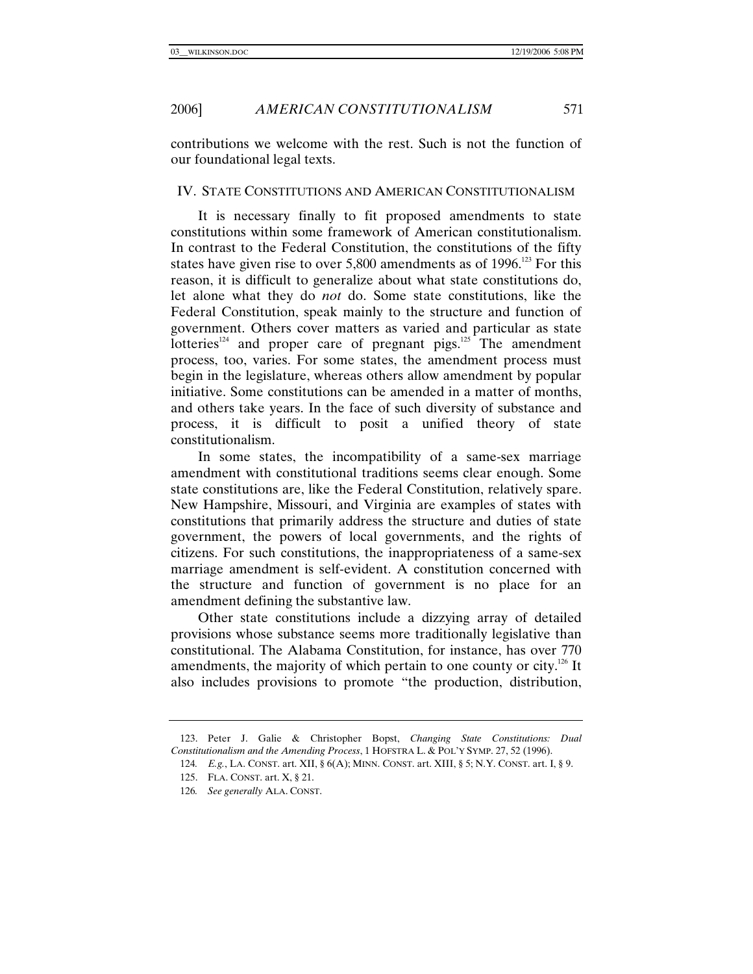contributions we welcome with the rest. Such is not the function of our foundational legal texts.

#### IV. STATE CONSTITUTIONS AND AMERICAN CONSTITUTIONALISM

It is necessary finally to fit proposed amendments to state constitutions within some framework of American constitutionalism. In contrast to the Federal Constitution, the constitutions of the fifty states have given rise to over  $5,800$  amendments as of 1996.<sup>123</sup> For this reason, it is difficult to generalize about what state constitutions do, let alone what they do *not* do. Some state constitutions, like the Federal Constitution, speak mainly to the structure and function of government. Others cover matters as varied and particular as state  $I$  lotteries<sup>124</sup> and proper care of pregnant pigs.<sup>125</sup> The amendment process, too, varies. For some states, the amendment process must begin in the legislature, whereas others allow amendment by popular initiative. Some constitutions can be amended in a matter of months, and others take years. In the face of such diversity of substance and process, it is difficult to posit a unified theory of state constitutionalism.

In some states, the incompatibility of a same-sex marriage amendment with constitutional traditions seems clear enough. Some state constitutions are, like the Federal Constitution, relatively spare. New Hampshire, Missouri, and Virginia are examples of states with constitutions that primarily address the structure and duties of state government, the powers of local governments, and the rights of citizens. For such constitutions, the inappropriateness of a same-sex marriage amendment is self-evident. A constitution concerned with the structure and function of government is no place for an amendment defining the substantive law.

Other state constitutions include a dizzying array of detailed provisions whose substance seems more traditionally legislative than constitutional. The Alabama Constitution, for instance, has over 770 amendments, the majority of which pertain to one county or city.<sup>126</sup> It also includes provisions to promote "the production, distribution,

 <sup>123.</sup> Peter J. Galie & Christopher Bopst, *Changing State Constitutions: Dual Constitutionalism and the Amending Process*, 1 HOFSTRA L. & POL'Y SYMP. 27, 52 (1996).

<sup>124</sup>*. E.g.*, LA. CONST. art. XII, § 6(A); MINN. CONST. art. XIII, § 5; N.Y. CONST. art. I, § 9.

 <sup>125.</sup> FLA. CONST. art. X, § 21.

<sup>126</sup>*. See generally* ALA. CONST.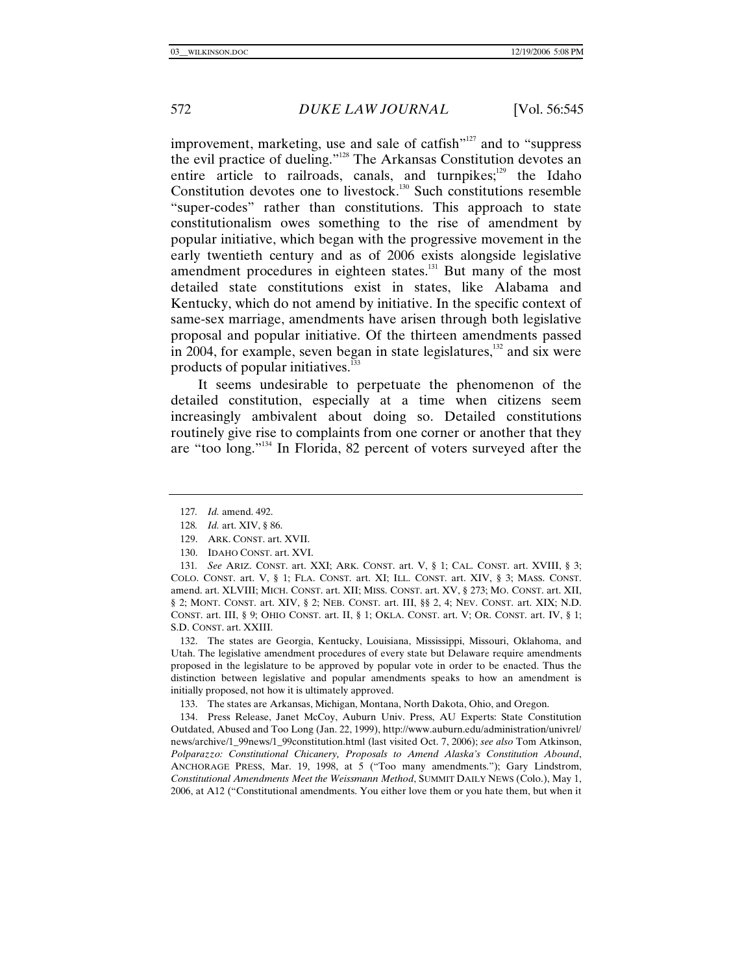improvement, marketing, use and sale of catfish"<sup>127</sup> and to "suppress" the evil practice of dueling."128 The Arkansas Constitution devotes an entire article to railroads, canals, and turnpikes; $129$  the Idaho Constitution devotes one to livestock.<sup>130</sup> Such constitutions resemble "super-codes" rather than constitutions. This approach to state constitutionalism owes something to the rise of amendment by popular initiative, which began with the progressive movement in the early twentieth century and as of 2006 exists alongside legislative amendment procedures in eighteen states.<sup>131</sup> But many of the most detailed state constitutions exist in states, like Alabama and Kentucky, which do not amend by initiative. In the specific context of same-sex marriage, amendments have arisen through both legislative proposal and popular initiative. Of the thirteen amendments passed in 2004, for example, seven began in state legislatures, $\frac{132}{2}$  and six were products of popular initiatives.<sup>133</sup>

It seems undesirable to perpetuate the phenomenon of the detailed constitution, especially at a time when citizens seem increasingly ambivalent about doing so. Detailed constitutions routinely give rise to complaints from one corner or another that they are "too long."134 In Florida, 82 percent of voters surveyed after the

129. ARK. CONST. art. XVII.

 132. The states are Georgia, Kentucky, Louisiana, Mississippi, Missouri, Oklahoma, and Utah. The legislative amendment procedures of every state but Delaware require amendments proposed in the legislature to be approved by popular vote in order to be enacted. Thus the distinction between legislative and popular amendments speaks to how an amendment is initially proposed, not how it is ultimately approved.

133. The states are Arkansas, Michigan, Montana, North Dakota, Ohio, and Oregon.

 134. Press Release, Janet McCoy, Auburn Univ. Press, AU Experts: State Constitution Outdated, Abused and Too Long (Jan. 22, 1999), http://www.auburn.edu/administration/univrel/ news/archive/1\_99news/1\_99constitution.html (last visited Oct. 7, 2006); *see also* Tom Atkinson, *Polparazzo: Constitutional Chicanery, Proposals to Amend Alaska's Constitution Abound*, ANCHORAGE PRESS, Mar. 19, 1998, at 5 ("Too many amendments."); Gary Lindstrom, *Constitutional Amendments Meet the Weissmann Method*, SUMMIT DAILY NEWS (Colo.), May 1, 2006, at A12 ("Constitutional amendments. You either love them or you hate them, but when it

<sup>127</sup>*. Id.* amend. 492.

<sup>128</sup>*. Id.* art. XIV, § 86.

 <sup>130.</sup> IDAHO CONST. art. XVI.

<sup>131</sup>*. See* ARIZ. CONST. art. XXI; ARK. CONST. art. V, § 1; CAL. CONST. art. XVIII, § 3; COLO. CONST. art. V, § 1; FLA. CONST. art. XI; ILL. CONST. art. XIV, § 3; MASS. CONST. amend. art. XLVIII; MICH. CONST. art. XII; MISS. CONST. art. XV, § 273; MO. CONST. art. XII, § 2; MONT. CONST. art. XIV, § 2; NEB. CONST. art. III, §§ 2, 4; NEV. CONST. art. XIX; N.D. CONST. art. III, § 9; OHIO CONST. art. II, § 1; OKLA. CONST. art. V; OR. CONST. art. IV, § 1; S.D. CONST. art. XXIII.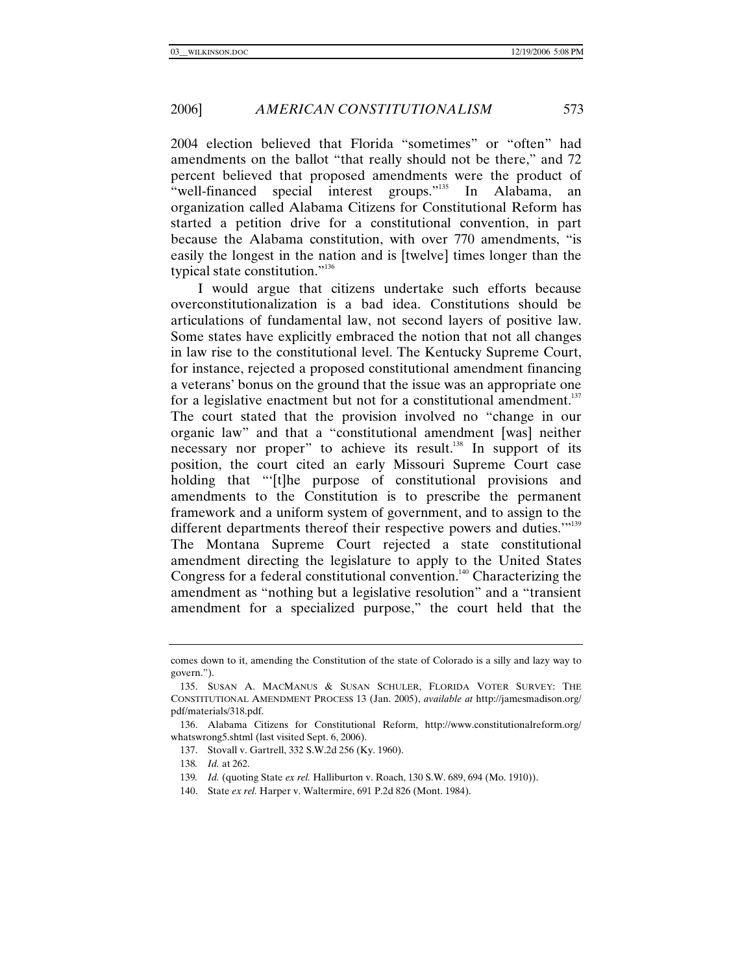2004 election believed that Florida "sometimes" or "often" had amendments on the ballot "that really should not be there," and 72 percent believed that proposed amendments were the product of "well-financed special interest groups."<sup>135</sup> In Alabama, an organization called Alabama Citizens for Constitutional Reform has started a petition drive for a constitutional convention, in part because the Alabama constitution, with over 770 amendments, "is easily the longest in the nation and is [twelve] times longer than the typical state constitution."<sup>136</sup>

I would argue that citizens undertake such efforts because overconstitutionalization is a bad idea. Constitutions should be articulations of fundamental law, not second layers of positive law. Some states have explicitly embraced the notion that not all changes in law rise to the constitutional level. The Kentucky Supreme Court, for instance, rejected a proposed constitutional amendment financing a veterans' bonus on the ground that the issue was an appropriate one for a legislative enactment but not for a constitutional amendment. $137$ The court stated that the provision involved no "change in our organic law" and that a "constitutional amendment [was] neither necessary nor proper" to achieve its result.<sup>138</sup> In support of its position, the court cited an early Missouri Supreme Court case holding that "'[t]he purpose of constitutional provisions and amendments to the Constitution is to prescribe the permanent framework and a uniform system of government, and to assign to the different departments thereof their respective powers and duties."<sup>139</sup> The Montana Supreme Court rejected a state constitutional amendment directing the legislature to apply to the United States Congress for a federal constitutional convention.<sup>140</sup> Characterizing the amendment as "nothing but a legislative resolution" and a "transient amendment for a specialized purpose," the court held that the

comes down to it, amending the Constitution of the state of Colorado is a silly and lazy way to govern.").

 <sup>135.</sup> SUSAN A. MACMANUS & SUSAN SCHULER, FLORIDA VOTER SURVEY: THE CONSTITUTIONAL AMENDMENT PROCESS 13 (Jan. 2005), *available at* http://jamesmadison.org/ pdf/materials/318.pdf.

 <sup>136.</sup> Alabama Citizens for Constitutional Reform, http://www.constitutionalreform.org/ whatswrong5.shtml (last visited Sept. 6, 2006).

 <sup>137.</sup> Stovall v. Gartrell, 332 S.W.2d 256 (Ky. 1960).

<sup>138</sup>*. Id.* at 262.

<sup>139</sup>*. Id.* (quoting State *ex rel.* Halliburton v. Roach, 130 S.W. 689, 694 (Mo. 1910)).

 <sup>140.</sup> State *ex rel.* Harper v. Waltermire, 691 P.2d 826 (Mont. 1984).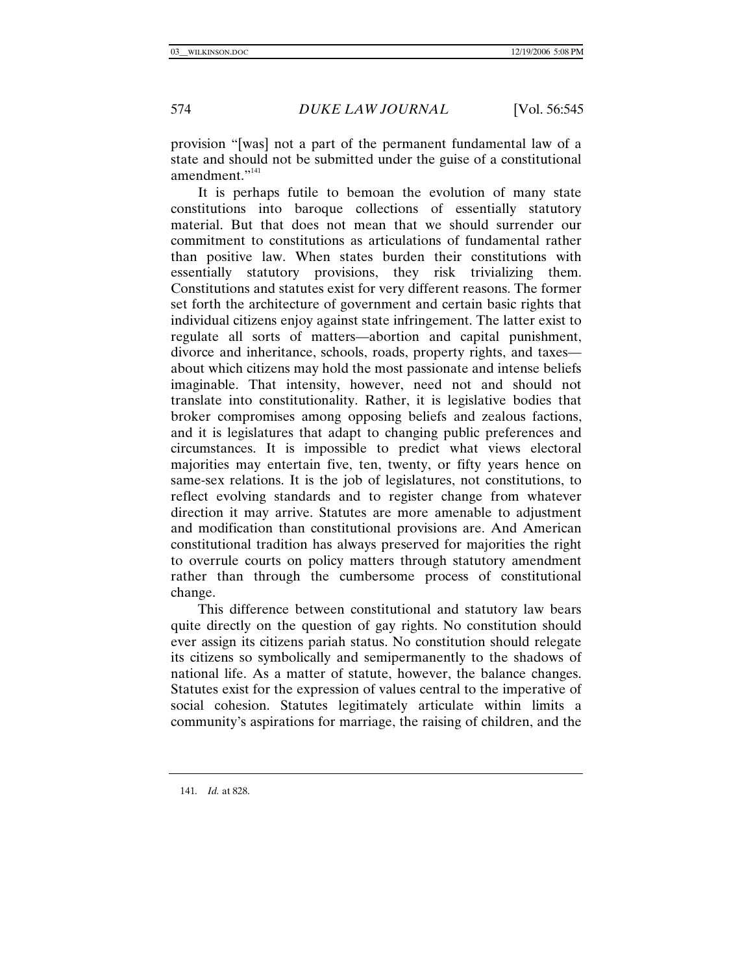provision "[was] not a part of the permanent fundamental law of a state and should not be submitted under the guise of a constitutional amendment."<sup>141</sup>

It is perhaps futile to bemoan the evolution of many state constitutions into baroque collections of essentially statutory material. But that does not mean that we should surrender our commitment to constitutions as articulations of fundamental rather than positive law. When states burden their constitutions with essentially statutory provisions, they risk trivializing them. Constitutions and statutes exist for very different reasons. The former set forth the architecture of government and certain basic rights that individual citizens enjoy against state infringement. The latter exist to regulate all sorts of matters—abortion and capital punishment, divorce and inheritance, schools, roads, property rights, and taxes about which citizens may hold the most passionate and intense beliefs imaginable. That intensity, however, need not and should not translate into constitutionality. Rather, it is legislative bodies that broker compromises among opposing beliefs and zealous factions, and it is legislatures that adapt to changing public preferences and circumstances. It is impossible to predict what views electoral majorities may entertain five, ten, twenty, or fifty years hence on same-sex relations. It is the job of legislatures, not constitutions, to reflect evolving standards and to register change from whatever direction it may arrive. Statutes are more amenable to adjustment and modification than constitutional provisions are. And American constitutional tradition has always preserved for majorities the right to overrule courts on policy matters through statutory amendment rather than through the cumbersome process of constitutional change.

This difference between constitutional and statutory law bears quite directly on the question of gay rights. No constitution should ever assign its citizens pariah status. No constitution should relegate its citizens so symbolically and semipermanently to the shadows of national life. As a matter of statute, however, the balance changes. Statutes exist for the expression of values central to the imperative of social cohesion. Statutes legitimately articulate within limits a community's aspirations for marriage, the raising of children, and the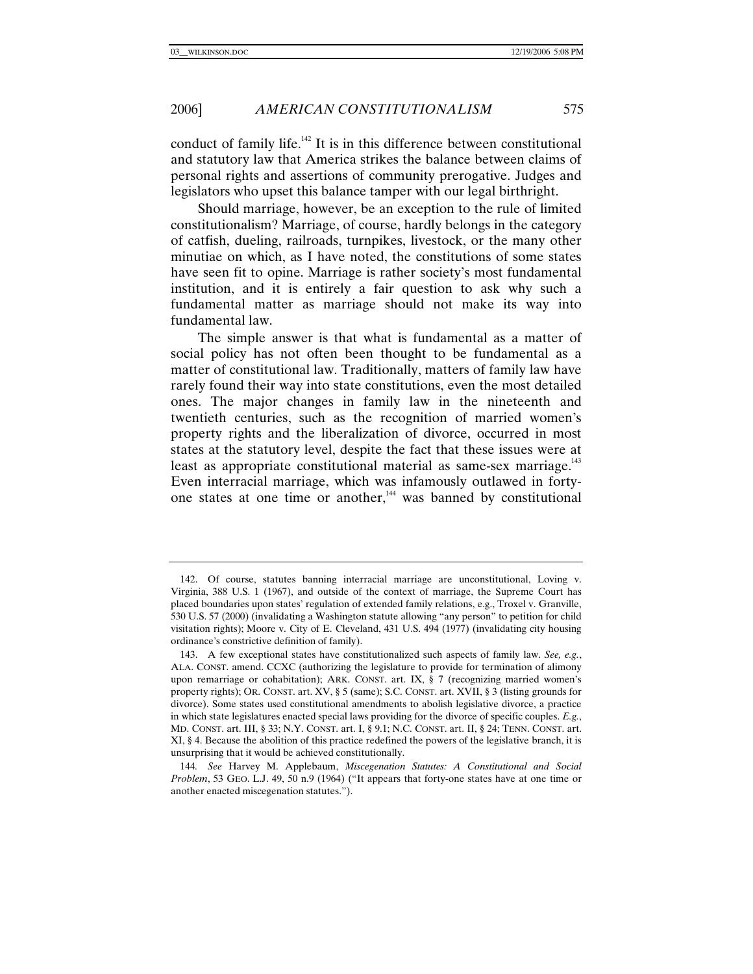conduct of family life.<sup>142</sup> It is in this difference between constitutional and statutory law that America strikes the balance between claims of personal rights and assertions of community prerogative. Judges and legislators who upset this balance tamper with our legal birthright.

Should marriage, however, be an exception to the rule of limited constitutionalism? Marriage, of course, hardly belongs in the category of catfish, dueling, railroads, turnpikes, livestock, or the many other minutiae on which, as I have noted, the constitutions of some states have seen fit to opine. Marriage is rather society's most fundamental institution, and it is entirely a fair question to ask why such a fundamental matter as marriage should not make its way into fundamental law.

The simple answer is that what is fundamental as a matter of social policy has not often been thought to be fundamental as a matter of constitutional law. Traditionally, matters of family law have rarely found their way into state constitutions, even the most detailed ones. The major changes in family law in the nineteenth and twentieth centuries, such as the recognition of married women's property rights and the liberalization of divorce, occurred in most states at the statutory level, despite the fact that these issues were at least as appropriate constitutional material as same-sex marriage.<sup>143</sup> Even interracial marriage, which was infamously outlawed in fortyone states at one time or another, $144$  was banned by constitutional

 <sup>142.</sup> Of course, statutes banning interracial marriage are unconstitutional, Loving v. Virginia, 388 U.S. 1 (1967), and outside of the context of marriage, the Supreme Court has placed boundaries upon states' regulation of extended family relations, e.g., Troxel v. Granville, 530 U.S. 57 (2000) (invalidating a Washington statute allowing "any person" to petition for child visitation rights); Moore v. City of E. Cleveland, 431 U.S. 494 (1977) (invalidating city housing ordinance's constrictive definition of family).

 <sup>143.</sup> A few exceptional states have constitutionalized such aspects of family law. *See, e.g.*, ALA. CONST. amend. CCXC (authorizing the legislature to provide for termination of alimony upon remarriage or cohabitation); ARK. CONST. art. IX, § 7 (recognizing married women's property rights); OR. CONST. art. XV, § 5 (same); S.C. CONST. art. XVII, § 3 (listing grounds for divorce). Some states used constitutional amendments to abolish legislative divorce, a practice in which state legislatures enacted special laws providing for the divorce of specific couples. *E.g.*, MD. CONST. art. III, § 33; N.Y. CONST. art. I, § 9.1; N.C. CONST. art. II, § 24; TENN. CONST. art. XI, § 4. Because the abolition of this practice redefined the powers of the legislative branch, it is unsurprising that it would be achieved constitutionally.

<sup>144</sup>*. See* Harvey M. Applebaum, *Miscegenation Statutes: A Constitutional and Social Problem*, 53 GEO. L.J. 49, 50 n.9 (1964) ("It appears that forty-one states have at one time or another enacted miscegenation statutes.").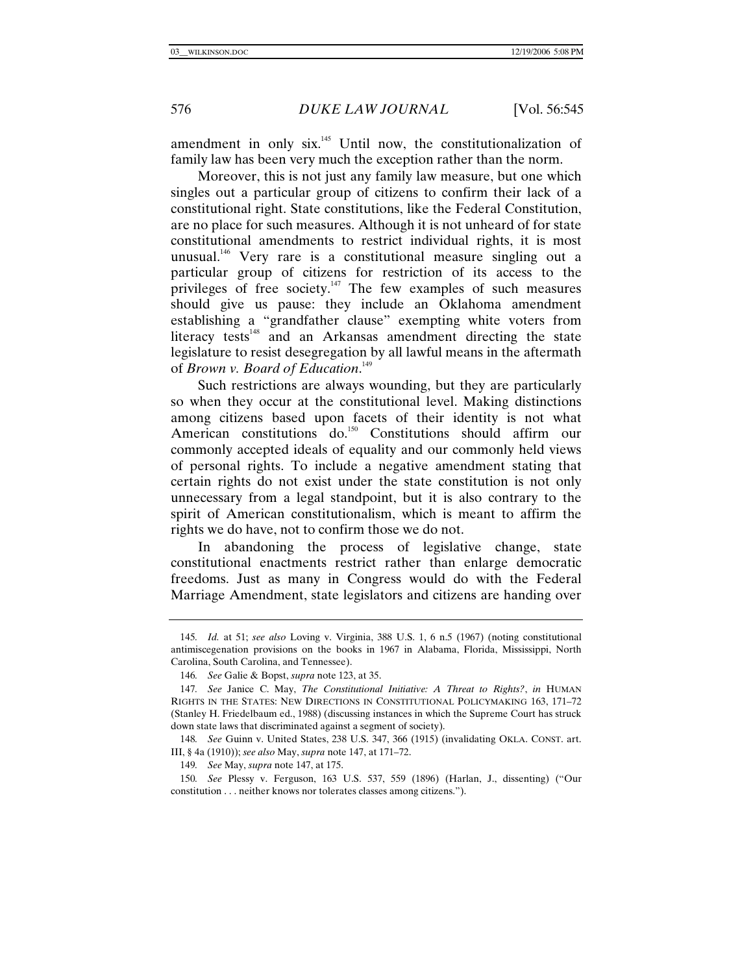amendment in only six.<sup>145</sup> Until now, the constitutionalization of family law has been very much the exception rather than the norm.

Moreover, this is not just any family law measure, but one which singles out a particular group of citizens to confirm their lack of a constitutional right. State constitutions, like the Federal Constitution, are no place for such measures. Although it is not unheard of for state constitutional amendments to restrict individual rights, it is most unusual.<sup>146</sup> Very rare is a constitutional measure singling out a particular group of citizens for restriction of its access to the privileges of free society.<sup>147</sup> The few examples of such measures should give us pause: they include an Oklahoma amendment establishing a "grandfather clause" exempting white voters from literacy tests<sup>148</sup> and an Arkansas amendment directing the state legislature to resist desegregation by all lawful means in the aftermath of *Brown v. Board of Education*. 149

Such restrictions are always wounding, but they are particularly so when they occur at the constitutional level. Making distinctions among citizens based upon facets of their identity is not what American constitutions do.<sup>150</sup> Constitutions should affirm our commonly accepted ideals of equality and our commonly held views of personal rights. To include a negative amendment stating that certain rights do not exist under the state constitution is not only unnecessary from a legal standpoint, but it is also contrary to the spirit of American constitutionalism, which is meant to affirm the rights we do have, not to confirm those we do not.

In abandoning the process of legislative change, state constitutional enactments restrict rather than enlarge democratic freedoms. Just as many in Congress would do with the Federal Marriage Amendment, state legislators and citizens are handing over

148*. See* Guinn v. United States, 238 U.S. 347, 366 (1915) (invalidating OKLA. CONST. art. III, § 4a (1910)); *see also* May, *supra* note 147, at 171–72.

149*. See* May, *supra* note 147, at 175.

150*. See* Plessy v. Ferguson, 163 U.S. 537, 559 (1896) (Harlan, J., dissenting) ("Our constitution . . . neither knows nor tolerates classes among citizens.").

<sup>145</sup>*. Id.* at 51; *see also* Loving v. Virginia, 388 U.S. 1, 6 n.5 (1967) (noting constitutional antimiscegenation provisions on the books in 1967 in Alabama, Florida, Mississippi, North Carolina, South Carolina, and Tennessee).

<sup>146</sup>*. See* Galie & Bopst, *supra* note 123, at 35.

<sup>147</sup>*. See* Janice C. May, *The Constitutional Initiative: A Threat to Rights?*, *in* HUMAN RIGHTS IN THE STATES: NEW DIRECTIONS IN CONSTITUTIONAL POLICYMAKING 163, 171–72 (Stanley H. Friedelbaum ed., 1988) (discussing instances in which the Supreme Court has struck down state laws that discriminated against a segment of society).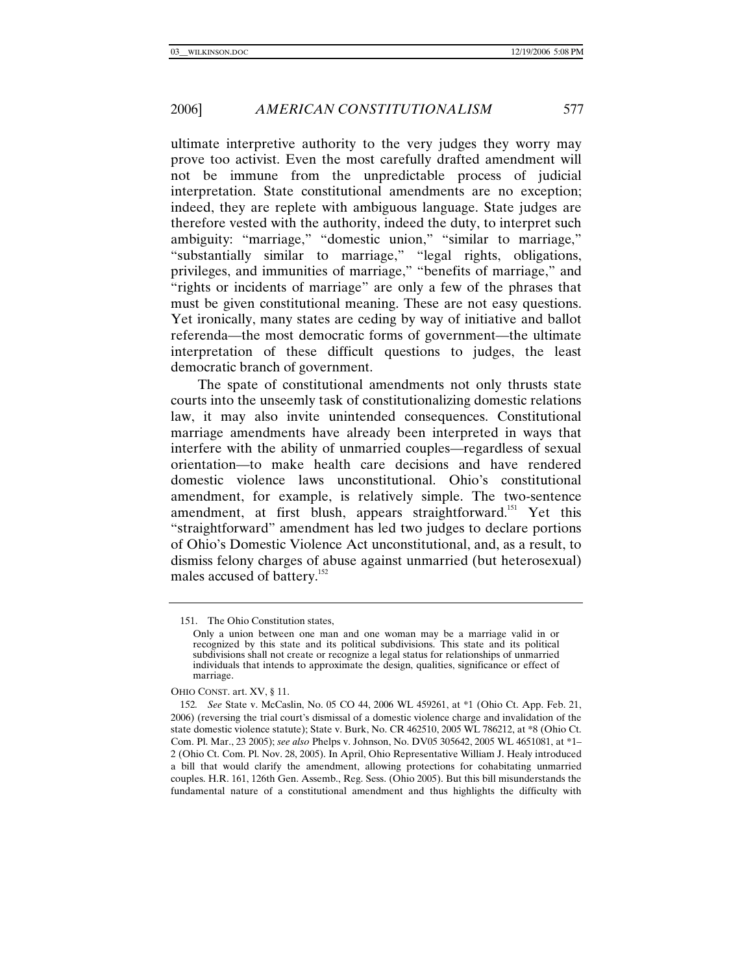ultimate interpretive authority to the very judges they worry may prove too activist. Even the most carefully drafted amendment will not be immune from the unpredictable process of judicial interpretation. State constitutional amendments are no exception; indeed, they are replete with ambiguous language. State judges are therefore vested with the authority, indeed the duty, to interpret such ambiguity: "marriage," "domestic union," "similar to marriage," "substantially similar to marriage," "legal rights, obligations, privileges, and immunities of marriage," "benefits of marriage," and "rights or incidents of marriage" are only a few of the phrases that must be given constitutional meaning. These are not easy questions. Yet ironically, many states are ceding by way of initiative and ballot referenda—the most democratic forms of government—the ultimate interpretation of these difficult questions to judges, the least democratic branch of government.

The spate of constitutional amendments not only thrusts state courts into the unseemly task of constitutionalizing domestic relations law, it may also invite unintended consequences. Constitutional marriage amendments have already been interpreted in ways that interfere with the ability of unmarried couples—regardless of sexual orientation—to make health care decisions and have rendered domestic violence laws unconstitutional. Ohio's constitutional amendment, for example, is relatively simple. The two-sentence amendment, at first blush, appears straightforward.<sup>151</sup> Yet this "straightforward" amendment has led two judges to declare portions of Ohio's Domestic Violence Act unconstitutional, and, as a result, to dismiss felony charges of abuse against unmarried (but heterosexual) males accused of battery.<sup>152</sup>

OHIO CONST. art. XV, § 11.

 <sup>151.</sup> The Ohio Constitution states,

Only a union between one man and one woman may be a marriage valid in or recognized by this state and its political subdivisions. This state and its political subdivisions shall not create or recognize a legal status for relationships of unmarried individuals that intends to approximate the design, qualities, significance or effect of marriage.

<sup>152</sup>*. See* State v. McCaslin, No. 05 CO 44, 2006 WL 459261, at \*1 (Ohio Ct. App. Feb. 21, 2006) (reversing the trial court's dismissal of a domestic violence charge and invalidation of the state domestic violence statute); State v. Burk, No. CR 462510, 2005 WL 786212, at \*8 (Ohio Ct. Com. Pl. Mar., 23 2005); *see also* Phelps v. Johnson, No. DV05 305642, 2005 WL 4651081, at \*1– 2 (Ohio Ct. Com. Pl. Nov. 28, 2005). In April, Ohio Representative William J. Healy introduced a bill that would clarify the amendment, allowing protections for cohabitating unmarried couples. H.R. 161, 126th Gen. Assemb., Reg. Sess. (Ohio 2005). But this bill misunderstands the fundamental nature of a constitutional amendment and thus highlights the difficulty with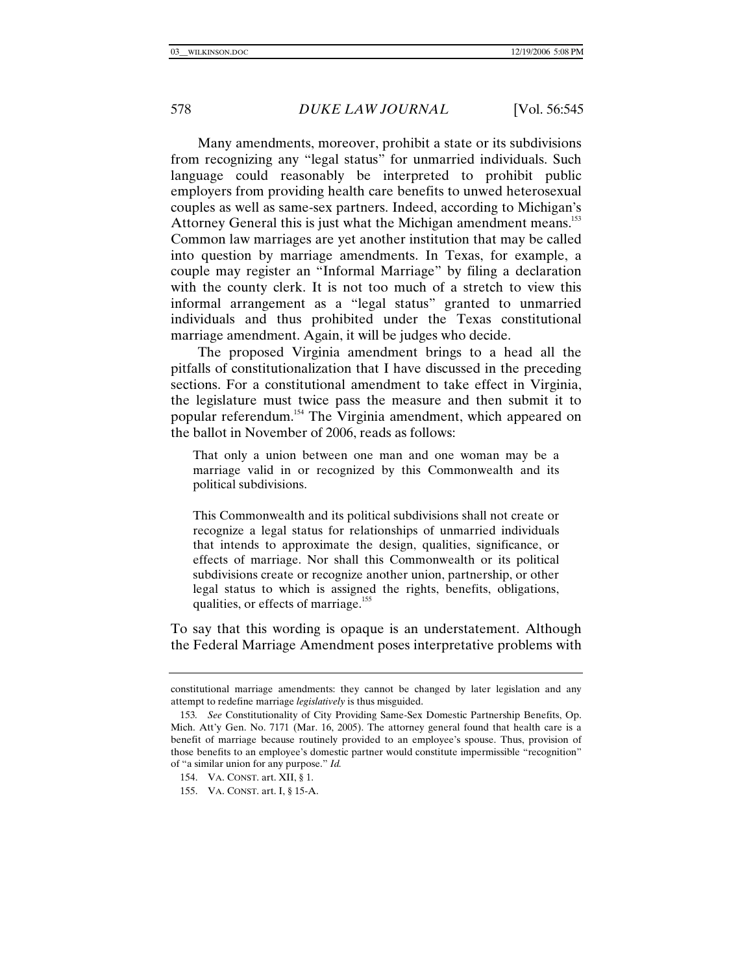Many amendments, moreover, prohibit a state or its subdivisions from recognizing any "legal status" for unmarried individuals. Such language could reasonably be interpreted to prohibit public employers from providing health care benefits to unwed heterosexual couples as well as same-sex partners. Indeed, according to Michigan's Attorney General this is just what the Michigan amendment means.<sup>153</sup> Common law marriages are yet another institution that may be called into question by marriage amendments. In Texas, for example, a couple may register an "Informal Marriage" by filing a declaration with the county clerk. It is not too much of a stretch to view this informal arrangement as a "legal status" granted to unmarried individuals and thus prohibited under the Texas constitutional marriage amendment. Again, it will be judges who decide.

The proposed Virginia amendment brings to a head all the pitfalls of constitutionalization that I have discussed in the preceding sections. For a constitutional amendment to take effect in Virginia, the legislature must twice pass the measure and then submit it to popular referendum.154 The Virginia amendment, which appeared on the ballot in November of 2006, reads as follows:

That only a union between one man and one woman may be a marriage valid in or recognized by this Commonwealth and its political subdivisions.

This Commonwealth and its political subdivisions shall not create or recognize a legal status for relationships of unmarried individuals that intends to approximate the design, qualities, significance, or effects of marriage. Nor shall this Commonwealth or its political subdivisions create or recognize another union, partnership, or other legal status to which is assigned the rights, benefits, obligations, qualities, or effects of marriage.<sup>155</sup>

To say that this wording is opaque is an understatement. Although the Federal Marriage Amendment poses interpretative problems with

constitutional marriage amendments: they cannot be changed by later legislation and any attempt to redefine marriage *legislatively* is thus misguided.

<sup>153</sup>*. See* Constitutionality of City Providing Same-Sex Domestic Partnership Benefits, Op. Mich. Att'y Gen. No. 7171 (Mar. 16, 2005). The attorney general found that health care is a benefit of marriage because routinely provided to an employee's spouse. Thus, provision of those benefits to an employee's domestic partner would constitute impermissible "recognition" of "a similar union for any purpose." *Id.*

 <sup>154.</sup> VA. CONST. art. XII, § 1.

 <sup>155.</sup> VA. CONST. art. I, § 15-A.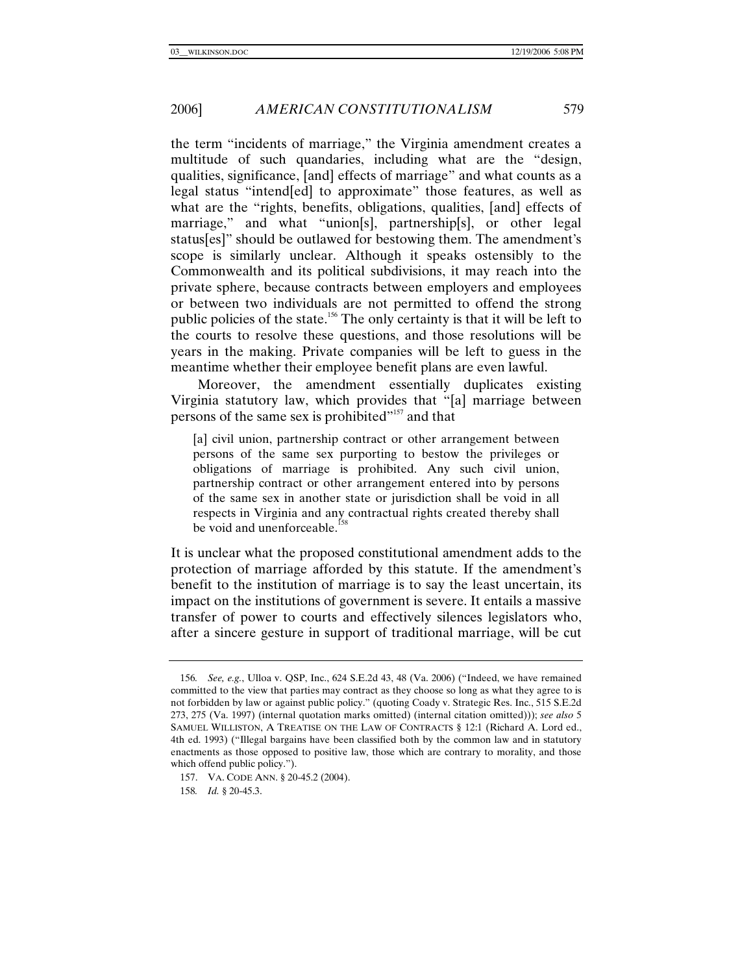the term "incidents of marriage," the Virginia amendment creates a multitude of such quandaries, including what are the "design, qualities, significance, [and] effects of marriage" and what counts as a legal status "intend[ed] to approximate" those features, as well as what are the "rights, benefits, obligations, qualities, [and] effects of marriage," and what "union[s], partnership[s], or other legal status[es]" should be outlawed for bestowing them. The amendment's scope is similarly unclear. Although it speaks ostensibly to the Commonwealth and its political subdivisions, it may reach into the private sphere, because contracts between employers and employees or between two individuals are not permitted to offend the strong public policies of the state.156 The only certainty is that it will be left to the courts to resolve these questions, and those resolutions will be years in the making. Private companies will be left to guess in the meantime whether their employee benefit plans are even lawful.

Moreover, the amendment essentially duplicates existing Virginia statutory law, which provides that "[a] marriage between persons of the same sex is prohibited"<sup>157</sup> and that

[a] civil union, partnership contract or other arrangement between persons of the same sex purporting to bestow the privileges or obligations of marriage is prohibited. Any such civil union, partnership contract or other arrangement entered into by persons of the same sex in another state or jurisdiction shall be void in all respects in Virginia and any contractual rights created thereby shall be void and unenforceable.<sup>158</sup>

It is unclear what the proposed constitutional amendment adds to the protection of marriage afforded by this statute. If the amendment's benefit to the institution of marriage is to say the least uncertain, its impact on the institutions of government is severe. It entails a massive transfer of power to courts and effectively silences legislators who, after a sincere gesture in support of traditional marriage, will be cut

<sup>156</sup>*. See, e.g.*, Ulloa v. QSP, Inc., 624 S.E.2d 43, 48 (Va. 2006) ("Indeed, we have remained committed to the view that parties may contract as they choose so long as what they agree to is not forbidden by law or against public policy." (quoting Coady v. Strategic Res. Inc., 515 S.E.2d 273, 275 (Va. 1997) (internal quotation marks omitted) (internal citation omitted))); *see also* 5 SAMUEL WILLISTON, A TREATISE ON THE LAW OF CONTRACTS § 12:1 (Richard A. Lord ed., 4th ed. 1993) ("Illegal bargains have been classified both by the common law and in statutory enactments as those opposed to positive law, those which are contrary to morality, and those which offend public policy.").

 <sup>157.</sup> VA. CODE ANN. § 20-45.2 (2004).

<sup>158</sup>*. Id.* § 20-45.3.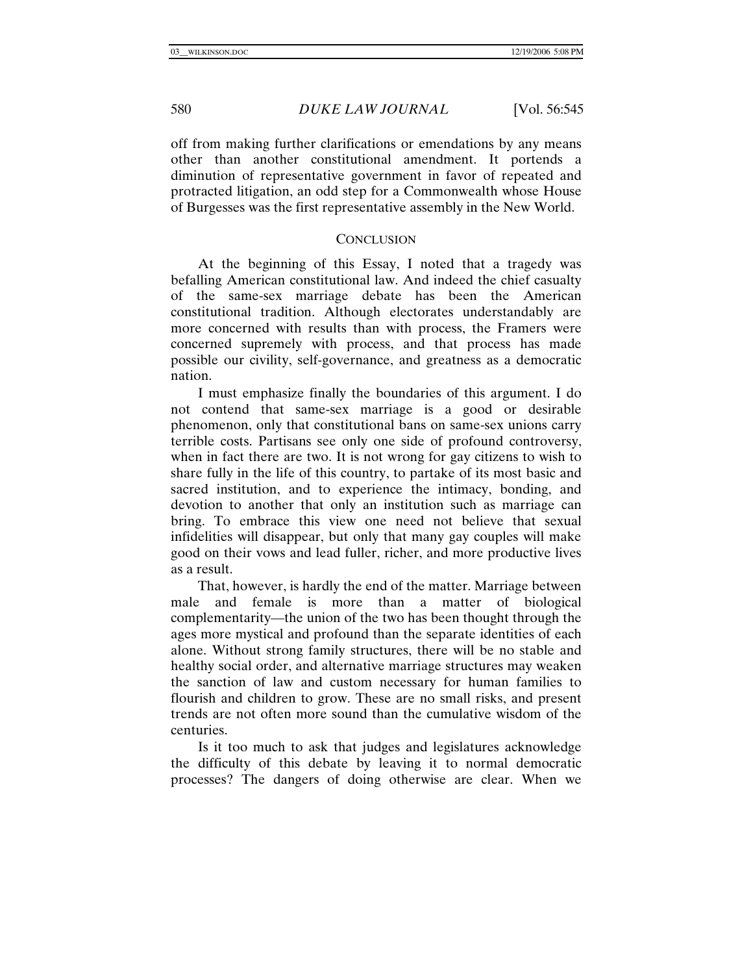off from making further clarifications or emendations by any means other than another constitutional amendment. It portends a diminution of representative government in favor of repeated and protracted litigation, an odd step for a Commonwealth whose House of Burgesses was the first representative assembly in the New World.

#### **CONCLUSION**

At the beginning of this Essay, I noted that a tragedy was befalling American constitutional law. And indeed the chief casualty of the same-sex marriage debate has been the American constitutional tradition. Although electorates understandably are more concerned with results than with process, the Framers were concerned supremely with process, and that process has made possible our civility, self-governance, and greatness as a democratic nation.

I must emphasize finally the boundaries of this argument. I do not contend that same-sex marriage is a good or desirable phenomenon, only that constitutional bans on same-sex unions carry terrible costs. Partisans see only one side of profound controversy, when in fact there are two. It is not wrong for gay citizens to wish to share fully in the life of this country, to partake of its most basic and sacred institution, and to experience the intimacy, bonding, and devotion to another that only an institution such as marriage can bring. To embrace this view one need not believe that sexual infidelities will disappear, but only that many gay couples will make good on their vows and lead fuller, richer, and more productive lives as a result.

That, however, is hardly the end of the matter. Marriage between male and female is more than a matter of biological complementarity—the union of the two has been thought through the ages more mystical and profound than the separate identities of each alone. Without strong family structures, there will be no stable and healthy social order, and alternative marriage structures may weaken the sanction of law and custom necessary for human families to flourish and children to grow. These are no small risks, and present trends are not often more sound than the cumulative wisdom of the centuries.

Is it too much to ask that judges and legislatures acknowledge the difficulty of this debate by leaving it to normal democratic processes? The dangers of doing otherwise are clear. When we